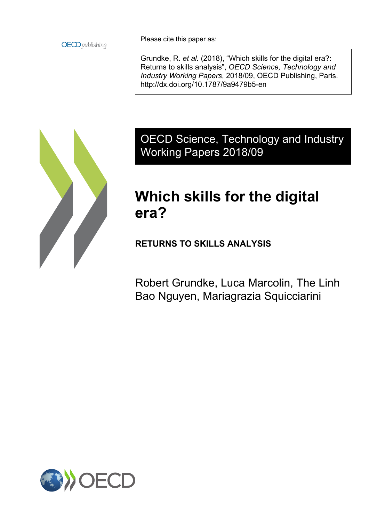**OECD** publishing

Please cite this paper as:

Grundke, R. *et al.* (2018), "Which skills for the digital era?: Returns to skills analysis", *OECD Science, Technology and Industry Working Papers*, 2018/09, OECD Publishing, Paris. <http://dx.doi.org/10.1787/9a9479b5-en>



OECD Science, Technology and Industry Working Papers 2018/09

# **Which skills for the digital era?**

**RETURNS TO SKILLS ANALYSIS**

Robert Grundke, Luca Marcolin, The Linh Bao Nguyen, Mariagrazia Squicciarini

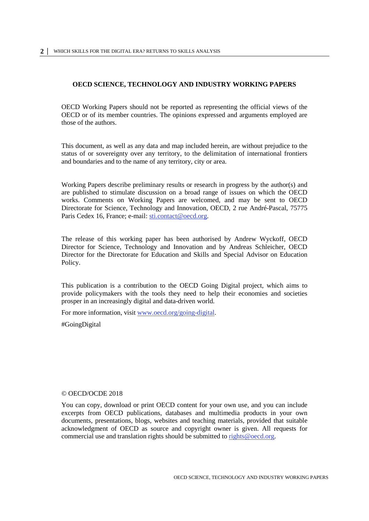#### **OECD SCIENCE, TECHNOLOGY AND INDUSTRY WORKING PAPERS**

OECD Working Papers should not be reported as representing the official views of the OECD or of its member countries. The opinions expressed and arguments employed are those of the authors.

This document, as well as any data and map included herein, are without prejudice to the status of or sovereignty over any territory, to the delimitation of international frontiers and boundaries and to the name of any territory, city or area.

Working Papers describe preliminary results or research in progress by the author(s) and are published to stimulate discussion on a broad range of issues on which the OECD works. Comments on Working Papers are welcomed, and may be sent to OECD Directorate for Science, Technology and Innovation, OECD, 2 rue André-Pascal, 75775 Paris Cedex 16, France; e-mail: [sti.contact@oecd.org.](mailto:sti.contact@oecd.org)

The release of this working paper has been authorised by Andrew Wyckoff, OECD Director for Science, Technology and Innovation and by Andreas Schleicher, OECD Director for the Directorate for Education and Skills and Special Advisor on Education Policy.

This publication is a contribution to the OECD Going Digital project, which aims to provide policymakers with the tools they need to help their economies and societies prosper in an increasingly digital and data-driven world.

For more information, visit [www.oecd.org/going-digital.](http://www.oecd.org/going-digital)

#GoingDigital

#### © OECD/OCDE 2018

You can copy, download or print OECD content for your own use, and you can include excerpts from OECD publications, databases and multimedia products in your own documents, presentations, blogs, websites and teaching materials, provided that suitable acknowledgment of OECD as source and copyright owner is given. All requests for commercial use and translation rights should be submitted to [rights@oecd.org.](mailto:rights@oecd.org)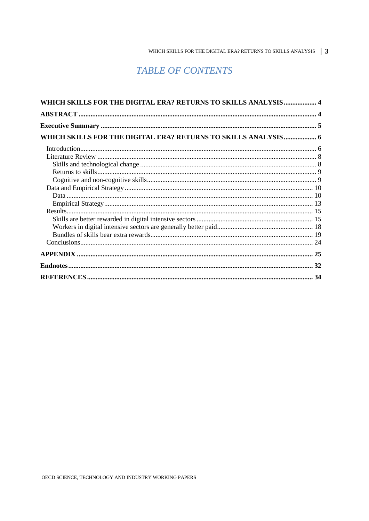# **TABLE OF CONTENTS**

| WHICH SKILLS FOR THE DIGITAL ERA? RETURNS TO SKILLS ANALYSIS 4 |  |
|----------------------------------------------------------------|--|
|                                                                |  |
|                                                                |  |
| WHICH SKILLS FOR THE DIGITAL ERA? RETURNS TO SKILLS ANALYSIS 6 |  |
|                                                                |  |
|                                                                |  |
|                                                                |  |
|                                                                |  |
|                                                                |  |
|                                                                |  |
|                                                                |  |
|                                                                |  |
|                                                                |  |
|                                                                |  |
|                                                                |  |
|                                                                |  |
|                                                                |  |
|                                                                |  |
|                                                                |  |
|                                                                |  |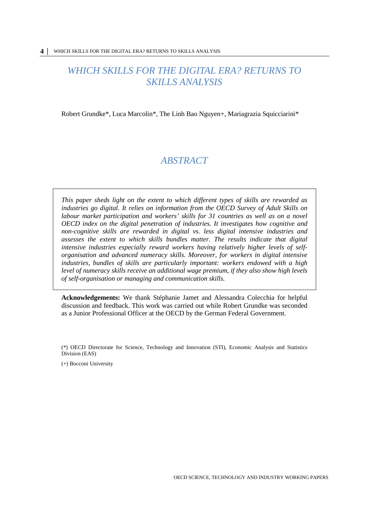# <span id="page-3-0"></span>*WHICH SKILLS FOR THE DIGITAL ERA? RETURNS TO SKILLS ANALYSIS*

<span id="page-3-1"></span>Robert Grundke\*, Luca Marcolin\*, The Linh Bao Nguyen+, Mariagrazia Squicciarini\*

# *ABSTRACT*

*This paper sheds light on the extent to which different types of skills are rewarded as industries go digital. It relies on information from the OECD Survey of Adult Skills on labour market participation and workers' skills for 31 countries as well as on a novel OECD index on the digital penetration of industries. It investigates how cognitive and non-cognitive skills are rewarded in digital vs. less digital intensive industries and assesses the extent to which skills bundles matter. The results indicate that digital intensive industries especially reward workers having relatively higher levels of selforganisation and advanced numeracy skills. Moreover, for workers in digital intensive industries, bundles of skills are particularly important: workers endowed with a high level of numeracy skills receive an additional wage premium, if they also show high levels of self-organisation or managing and communication skills.*

**Acknowledgements:** We thank Stéphanie Jamet and Alessandra Colecchia for helpful discussion and feedback. This work was carried out while Robert Grundke was seconded as a Junior Professional Officer at the OECD by the German Federal Government.

(+) Bocconi University

<sup>(\*)</sup> OECD Directorate for Science, Technology and Innovation (STI), Economic Analysis and Statistics Division (EAS)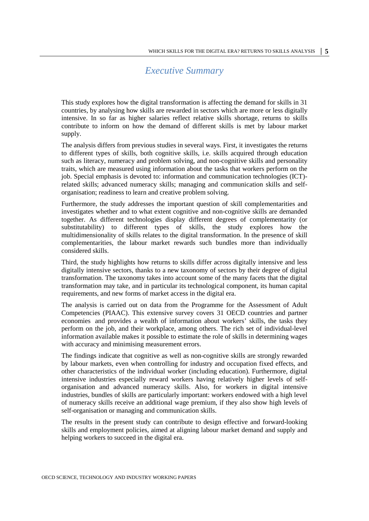### *Executive Summary*

<span id="page-4-0"></span>This study explores how the digital transformation is affecting the demand for skills in 31 countries, by analysing how skills are rewarded in sectors which are more or less digitally intensive. In so far as higher salaries reflect relative skills shortage, returns to skills contribute to inform on how the demand of different skills is met by labour market supply.

The analysis differs from previous studies in several ways. First, it investigates the returns to different types of skills, both cognitive skills, i.e. skills acquired through education such as literacy, numeracy and problem solving, and non-cognitive skills and personality traits, which are measured using information about the tasks that workers perform on the job. Special emphasis is devoted to: information and communication technologies (ICT) related skills; advanced numeracy skills; managing and communication skills and selforganisation; readiness to learn and creative problem solving.

Furthermore, the study addresses the important question of skill complementarities and investigates whether and to what extent cognitive and non-cognitive skills are demanded together. As different technologies display different degrees of complementarity (or substitutability) to different types of skills, the study explores how the multidimensionality of skills relates to the digital transformation. In the presence of skill complementarities, the labour market rewards such bundles more than individually considered skills.

Third, the study highlights how returns to skills differ across digitally intensive and less digitally intensive sectors, thanks to a new taxonomy of sectors by their degree of digital transformation. The taxonomy takes into account some of the many facets that the digital transformation may take, and in particular its technological component, its human capital requirements, and new forms of market access in the digital era.

The analysis is carried out on data from the Programme for the Assessment of Adult Competencies (PIAAC). This extensive survey covers 31 OECD countries and partner economies and provides a wealth of information about workers' skills, the tasks they perform on the job, and their workplace, among others. The rich set of individual-level information available makes it possible to estimate the role of skills in determining wages with accuracy and minimising measurement errors.

The findings indicate that cognitive as well as non-cognitive skills are strongly rewarded by labour markets, even when controlling for industry and occupation fixed effects, and other characteristics of the individual worker (including education). Furthermore, digital intensive industries especially reward workers having relatively higher levels of selforganisation and advanced numeracy skills. Also, for workers in digital intensive industries, bundles of skills are particularly important: workers endowed with a high level of numeracy skills receive an additional wage premium, if they also show high levels of self-organisation or managing and communication skills.

The results in the present study can contribute to design effective and forward-looking skills and employment policies, aimed at aligning labour market demand and supply and helping workers to succeed in the digital era.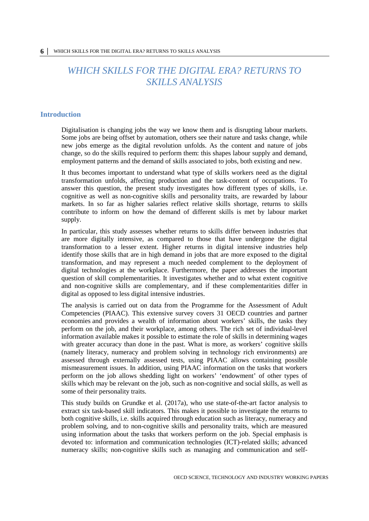# <span id="page-5-0"></span>*WHICH SKILLS FOR THE DIGITAL ERA? RETURNS TO SKILLS ANALYSIS*

#### <span id="page-5-1"></span>**Introduction**

Digitalisation is changing jobs the way we know them and is disrupting labour markets. Some jobs are being offset by automation, others see their nature and tasks change, while new jobs emerge as the digital revolution unfolds. As the content and nature of jobs change, so do the skills required to perform them: this shapes labour supply and demand, employment patterns and the demand of skills associated to jobs, both existing and new.

It thus becomes important to understand what type of skills workers need as the digital transformation unfolds, affecting production and the task-content of occupations. To answer this question, the present study investigates how different types of skills, i.e. cognitive as well as non-cognitive skills and personality traits, are rewarded by labour markets. In so far as higher salaries reflect relative skills shortage, returns to skills contribute to inform on how the demand of different skills is met by labour market supply.

In particular, this study assesses whether returns to skills differ between industries that are more digitally intensive, as compared to those that have undergone the digital transformation to a lesser extent. Higher returns in digital intensive industries help identify those skills that are in high demand in jobs that are more exposed to the digital transformation, and may represent a much needed complement to the deployment of digital technologies at the workplace. Furthermore, the paper addresses the important question of skill complementarities. It investigates whether and to what extent cognitive and non-cognitive skills are complementary, and if these complementarities differ in digital as opposed to less digital intensive industries.

The analysis is carried out on data from the Programme for the Assessment of Adult Competencies (PIAAC). This extensive survey covers 31 OECD countries and partner economies and provides a wealth of information about workers' skills, the tasks they perform on the job, and their workplace, among others. The rich set of individual-level information available makes it possible to estimate the role of skills in determining wages with greater accuracy than done in the past. What is more, as workers' cognitive skills (namely literacy, numeracy and problem solving in technology rich environments) are assessed through externally assessed tests, using PIAAC allows containing possible mismeasurement issues. In addition, using PIAAC information on the tasks that workers perform on the job allows shedding light on workers' 'endowment' of other types of skills which may be relevant on the job, such as non-cognitive and social skills, as well as some of their personality traits.

This study builds on Grundke et al. (2017a), who use state-of-the-art factor analysis to extract six task-based skill indicators. This makes it possible to investigate the returns to both cognitive skills, i.e. skills acquired through education such as literacy, numeracy and problem solving, and to non-cognitive skills and personality traits, which are measured using information about the tasks that workers perform on the job. Special emphasis is devoted to: information and communication technologies (ICT)-related skills; advanced numeracy skills; non-cognitive skills such as managing and communication and self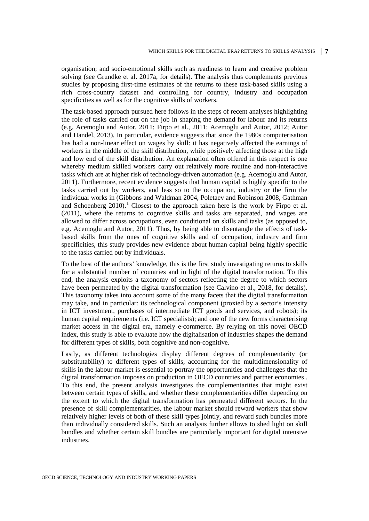organisation; and socio-emotional skills such as readiness to learn and creative problem solving (see Grundke et al. 2017a, for details). The analysis thus complements previous studies by proposing first-time estimates of the returns to these task-based skills using a rich cross-country dataset and controlling for country, industry and occupation specificities as well as for the cognitive skills of workers.

The task-based approach pursued here follows in the steps of recent analyses highlighting the role of tasks carried out on the job in shaping the demand for labour and its returns (e.g. Acemoglu and Autor, 2011; Firpo et al., 2011; Acemoglu and Autor, 2012; Autor and Handel, 2013). In particular, evidence suggests that since the 1980s computerisation has had a non-linear effect on wages by skill: it has negatively affected the earnings of workers in the middle of the skill distribution, while positively affecting those at the high and low end of the skill distribution. An explanation often offered in this respect is one whereby medium skilled workers carry out relatively more routine and non-interactive tasks which are at higher risk of technology-driven automation (e.g. Acemoglu and Autor, 2011). Furthermore, recent evidence suggests that human capital is highly specific to the tasks carried out by workers, and less so to the occupation, industry or the firm the individual works in (Gibbons and Waldman 2004, Poletaev and Robinson 2008, Gathman and Schoenberg  $2010$  $2010$  $2010$ .<sup>1</sup> Closest to the approach taken here is the work by Firpo et al. (2011), where the returns to cognitive skills and tasks are separated, and wages are allowed to differ across occupations, even conditional on skills and tasks (as opposed to, e.g. Acemoglu and Autor, 2011). Thus, by being able to disentangle the effects of taskbased skills from the ones of cognitive skills and of occupation, industry and firm specificities, this study provides new evidence about human capital being highly specific to the tasks carried out by individuals.

To the best of the authors' knowledge, this is the first study investigating returns to skills for a substantial number of countries and in light of the digital transformation. To this end, the analysis exploits a taxonomy of sectors reflecting the degree to which sectors have been permeated by the digital transformation (see Calvino et al., 2018, for details). This taxonomy takes into account some of the many facets that the digital transformation may take, and in particular: its technological component (proxied by a sector's intensity in ICT investment, purchases of intermediate ICT goods and services, and robots); its human capital requirements (i.e. ICT specialists); and one of the new forms characterising market access in the digital era, namely e-commerce. By relying on this novel OECD index, this study is able to evaluate how the digitalisation of industries shapes the demand for different types of skills, both cognitive and non-cognitive.

Lastly, as different technologies display different degrees of complementarity (or substitutability) to different types of skills, accounting for the multidimensionality of skills in the labour market is essential to portray the opportunities and challenges that the digital transformation imposes on production in OECD countries and partner economies . To this end, the present analysis investigates the complementarities that might exist between certain types of skills, and whether these complementarities differ depending on the extent to which the digital transformation has permeated different sectors. In the presence of skill complementarities, the labour market should reward workers that show relatively higher levels of both of these skill types jointly, and reward such bundles more than individually considered skills. Such an analysis further allows to shed light on skill bundles and whether certain skill bundles are particularly important for digital intensive industries.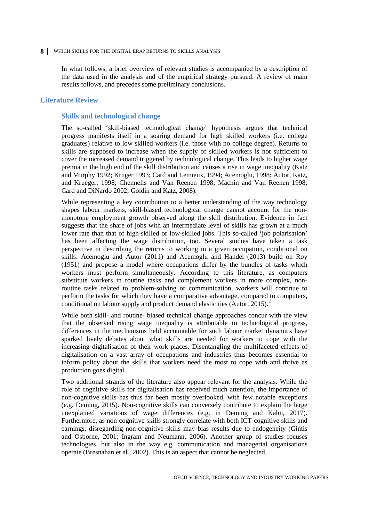In what follows, a brief overview of relevant studies is accompanied by a description of the data used in the analysis and of the empirical strategy pursued. A review of main results follows, and precedes some preliminary conclusions.

#### <span id="page-7-1"></span><span id="page-7-0"></span>**Literature Review**

#### **Skills and technological change**

The so-called 'skill-biased technological change' hypothesis argues that technical progress manifests itself in a soaring demand for high skilled workers (i.e. college graduates) relative to low skilled workers (i.e. those with no college degree). Returns to skills are supposed to increase when the supply of skilled workers is not sufficient to cover the increased demand triggered by technological change. This leads to higher wage premia in the high end of the skill distribution and causes a rise in wage inequality (Katz and Murphy 1992; Kruger 1993; Card and Lemieux, 1994; Acemoglu, 1998; Autor, Katz, and Krueger, 1998; Chennells and Van Reenen 1998; Machin and Van Reenen 1998; Card and DiNardo 2002; Goldin and Katz, 2008).

While representing a key contribution to a better understanding of the way technology shapes labour markets, skill-biased technological change cannot account for the nonmonotone employment growth observed along the skill distribution. Evidence in fact suggests that the share of jobs with an intermediate level of skills has grown at a much lower rate than that of high-skilled or low-skilled jobs. This so-called 'job polarisation' has been affecting the wage distribution, too. Several studies have taken a task perspective in describing the returns to working in a given occupation, conditional on skills: Acemoglu and Autor (2011) and Acemoglu and Handel (2013) build on Roy (1951) and propose a model where occupations differ by the bundles of tasks which workers must perform simultaneously. According to this literature, as computers substitute workers in routine tasks and complement workers in more complex, nonroutine tasks related to problem-solving or communication, workers will continue to perform the tasks for which they have a comparative advantage, compared to computers, conditional on labour supply and product demand elasticities (Autor, 2015). [2](#page-31-2)

While both skill- and routine- biased technical change approaches concur with the view that the observed rising wage inequality is attributable to technological progress, differences in the mechanisms held accountable for such labour market dynamics have sparked lively debates about what skills are needed for workers to cope with the increasing digitalisation of their work places. Disentangling the multifaceted effects of digitalisation on a vast array of occupations and industries thus becomes essential to inform policy about the skills that workers need the most to cope with and thrive as production goes digital.

Two additional strands of the literature also appear relevant for the analysis. While the role of cognitive skills for digitalisation has received much attention, the importance of non-cognitive skills has thus far been mostly overlooked, with few notable exceptions (e.g. Deming, 2015). Non-cognitive skills can conversely contribute to explain the large unexplained variations of wage differences (e.g. in Deming and Kahn, 2017). Furthermore, as non-cognitive skills strongly correlate with both ICT-cognitive skills and earnings, disregarding non-cognitive skills may bias results due to endogeneity (Gintis and Osborne, 2001; Ingram and Neumann, 2006). Another group of studies focuses technologies, but also in the way e.g. communication and managerial organisations operate (Bresnahan et al., 2002). This is an aspect that cannot be neglected.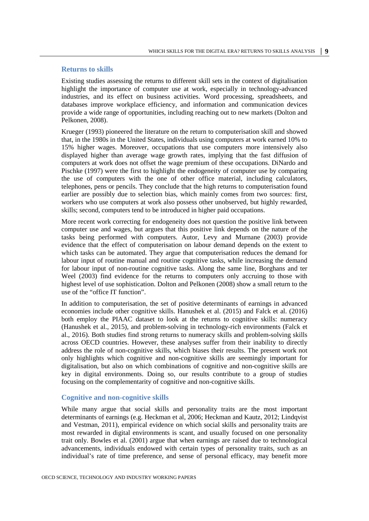#### <span id="page-8-0"></span>**Returns to skills**

Existing studies assessing the returns to different skill sets in the context of digitalisation highlight the importance of computer use at work, especially in technology-advanced industries, and its effect on business activities. Word processing, spreadsheets, and databases improve workplace efficiency, and information and communication devices provide a wide range of opportunities, including reaching out to new markets (Dolton and Pelkonen, 2008).

Krueger (1993) pioneered the literature on the return to computerisation skill and showed that, in the 1980s in the United States, individuals using computers at work earned 10% to 15% higher wages. Moreover, occupations that use computers more intensively also displayed higher than average wage growth rates, implying that the fast diffusion of computers at work does not offset the wage premium of these occupations. DiNardo and Pischke (1997) were the first to highlight the endogeneity of computer use by comparing the use of computers with the one of other office material, including calculators, telephones, pens or pencils. They conclude that the high returns to computerisation found earlier are possibly due to selection bias, which mainly comes from two sources: first, workers who use computers at work also possess other unobserved, but highly rewarded, skills; second, computers tend to be introduced in higher paid occupations.

More recent work correcting for endogeneity does not question the positive link between computer use and wages, but argues that this positive link depends on the nature of the tasks being performed with computers. Autor, Levy and Murnane (2003) provide evidence that the effect of computerisation on labour demand depends on the extent to which tasks can be automated. They argue that computerisation reduces the demand for labour input of routine manual and routine cognitive tasks, while increasing the demand for labour input of non-routine cognitive tasks. Along the same line, Borghans and ter Weel (2003) find evidence for the returns to computers only accruing to those with highest level of use sophistication. Dolton and Pelkonen (2008) show a small return to the use of the "office IT function".

In addition to computerisation, the set of positive determinants of earnings in advanced economies include other cognitive skills. Hanushek et al. (2015) and Falck et al. (2016) both employ the PIAAC dataset to look at the returns to cognitive skills: numeracy (Hanushek et al., 2015), and problem-solving in technology-rich environments (Falck et al., 2016). Both studies find strong returns to numeracy skills and problem-solving skills across OECD countries. However, these analyses suffer from their inability to directly address the role of non-cognitive skills, which biases their results. The present work not only highlights which cognitive and non-cognitive skills are seemingly important for digitalisation, but also on which combinations of cognitive and non-cognitive skills are key in digital environments. Doing so, our results contribute to a group of studies focusing on the complementarity of cognitive and non-cognitive skills.

#### <span id="page-8-1"></span>**Cognitive and non-cognitive skills**

While many argue that social skills and personality traits are the most important determinants of earnings (e.g. Heckman et al, 2006; Heckman and Kautz, 2012; Lindqvist and Vestman, 2011), empirical evidence on which social skills and personality traits are most rewarded in digital environments is scant, and usually focused on one personality trait only. Bowles et al. (2001) argue that when earnings are raised due to technological advancements, individuals endowed with certain types of personality traits, such as an individual's rate of time preference, and sense of personal efficacy, may benefit more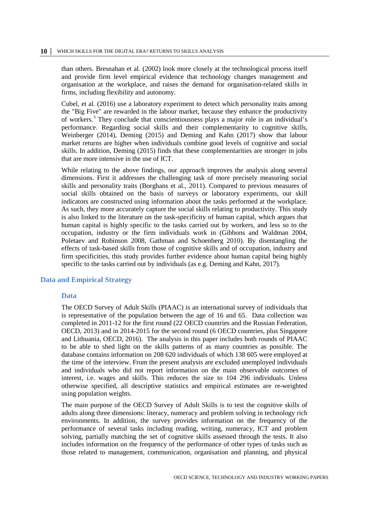than others. Bresnahan et al. (2002) look more closely at the technological process itself and provide firm level empirical evidence that technology changes management and organisation at the workplace, and raises the demand for organisation-related skills in firms, including flexibility and autonomy.

Cubel, et al. (2016) use a laboratory experiment to detect which personality traits among the "Big Five" are rewarded in the labour market, because they enhance the productivity of workers.<sup>[3](#page-31-3)</sup> They conclude that conscientiousness plays a major role in an individual's performance. Regarding social skills and their complementarity to cognitive skills, Weinberger (2014), Deming (2015) and Deming and Kahn (2017) show that labour market returns are higher when individuals combine good levels of cognitive and social skills. In addition, Deming (2015) finds that these complementarities are stronger in jobs that are more intensive in the use of ICT.

While relating to the above findings, our approach improves the analysis along several dimensions. First it addresses the challenging task of more precisely measuring social skills and personality traits (Borghans et al., 2011). Compared to previous measures of social skills obtained on the basis of surveys or laboratory experiments, our skill indicators are constructed using information about the tasks performed at the workplace. As such, they more accurately capture the social skills relating to productivity. This study is also linked to the literature on the task-specificity of human capital, which argues that human capital is highly specific to the tasks carried out by workers, and less so to the occupation, industry or the firm individuals work in (Gibbons and Waldman 2004, Poletaev and Robinson 2008, Gathman and Schoenberg 2010). By disentangling the effects of task-based skills from those of cognitive skills and of occupation, industry and firm specificities, this study provides further evidence about human capital being highly specific to the tasks carried out by individuals (as e.g. Deming and Kahn, 2017).

#### <span id="page-9-1"></span><span id="page-9-0"></span>**Data and Empirical Strategy**

#### **Data**

The OECD Survey of Adult Skills (PIAAC) is an international survey of individuals that is representative of the population between the age of 16 and 65. Data collection was completed in 2011-12 for the first round (22 OECD countries and the Russian Federation, OECD, 2013) and in 2014-2015 for the second round (6 OECD countries, plus Singapore and Lithuania, OECD, 2016). The analysis in this paper includes both rounds of PIAAC to be able to shed light on the skills patterns of as many countries as possible. The database contains information on 208 620 individuals of which 138 605 were employed at the time of the interview. From the present analysis are excluded unemployed individuals and individuals who did not report information on the main observable outcomes of interest, i.e. wages and skills. This reduces the size to 104 296 individuals. Unless otherwise specified, all descriptive statistics and empirical estimates are re-weighted using population weights.

The main purpose of the OECD Survey of Adult Skills is to test the cognitive skills of adults along three dimensions: literacy, numeracy and problem solving in technology rich environments. In addition, the survey provides information on the frequency of the performance of several tasks including reading, writing, numeracy, ICT and problem solving, partially matching the set of cognitive skills assessed through the tests. It also includes information on the frequency of the performance of other types of tasks such as those related to management, communication, organisation and planning, and physical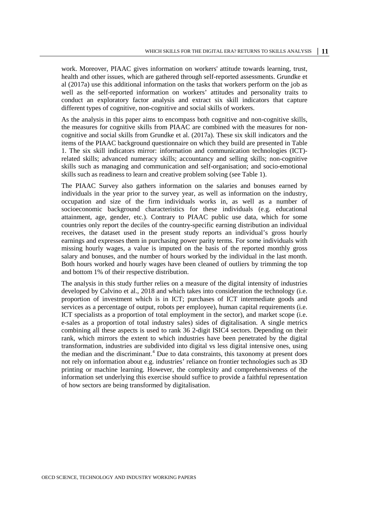work. Moreover, PIAAC gives information on workers' attitude towards learning, trust, health and other issues, which are gathered through self-reported assessments. Grundke et al (2017a) use this additional information on the tasks that workers perform on the job as well as the self-reported information on workers' attitudes and personality traits to conduct an exploratory factor analysis and extract six skill indicators that capture different types of cognitive, non-cognitive and social skills of workers.

As the analysis in this paper aims to encompass both cognitive and non-cognitive skills, the measures for cognitive skills from PIAAC are combined with the measures for noncognitive and social skills from Grundke et al. (2017a). These six skill indicators and the items of the PIAAC background questionnaire on which they build are presented in Table 1. The six skill indicators mirror: information and communication technologies (ICT) related skills; advanced numeracy skills; accountancy and selling skills; non-cognitive skills such as managing and communication and self-organisation; and socio-emotional skills such as readiness to learn and creative problem solving (see Table 1).

The PIAAC Survey also gathers information on the salaries and bonuses earned by individuals in the year prior to the survey year, as well as information on the industry, occupation and size of the firm individuals works in, as well as a number of socioeconomic background characteristics for these individuals (e.g. educational attainment, age, gender, etc.). Contrary to PIAAC public use data, which for some countries only report the deciles of the country-specific earning distribution an individual receives, the dataset used in the present study reports an individual's gross hourly earnings and expresses them in purchasing power parity terms. For some individuals with missing hourly wages, a value is imputed on the basis of the reported monthly gross salary and bonuses, and the number of hours worked by the individual in the last month. Both hours worked and hourly wages have been cleaned of outliers by trimming the top and bottom 1% of their respective distribution.

The analysis in this study further relies on a measure of the digital intensity of industries developed by Calvino et al., 2018 and which takes into consideration the technology (i.e. proportion of investment which is in ICT; purchases of ICT intermediate goods and services as a percentage of output, robots per employee), human capital requirements (i.e. ICT specialists as a proportion of total employment in the sector), and market scope (i.e. e-sales as a proportion of total industry sales) sides of digitalisation. A single metrics combining all these aspects is used to rank 36 2-digit ISIC4 sectors. Depending on their rank, which mirrors the extent to which industries have been penetrated by the digital transformation, industries are subdivided into digital vs less digital intensive ones, using the median and the discriminant.<sup>[4](#page-31-4)</sup> Due to data constraints, this taxonomy at present does not rely on information about e.g. industries' reliance on frontier technologies such as 3D printing or machine learning. However, the complexity and comprehensiveness of the information set underlying this exercise should suffice to provide a faithful representation of how sectors are being transformed by digitalisation.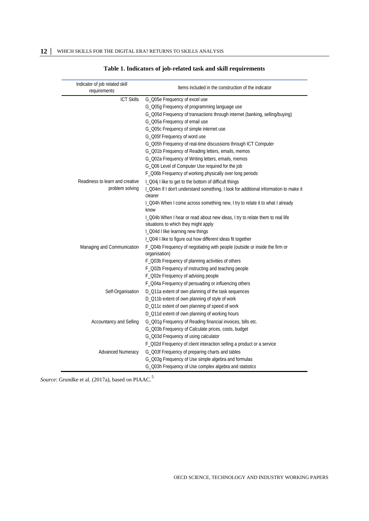| <b>ICT Skills</b><br>G_Q05e Frequency of excel use<br>G_Q05g Frequency of programming language use<br>G_Q05d Frequency of transactions through internet (banking, selling/buying)<br>G_Q05a Frequency of email use<br>G_Q05c Frequency of simple internet use<br>G_Q05f Frequency of word use<br>G_Q05h Frequency of real-time discussions through ICT Computer<br>G_Q01b Frequency of Reading letters, emails, memos<br>G_Q02a Frequency of Writing letters, emails, memos<br>G_006 Level of Computer Use required for the job<br>F_Q06b Frequency of working physically over long periods<br>Readiness to learn and creative<br>I_Q04j I like to get to the bottom of difficult things<br>problem solving<br>I_Q04m If I don't understand something, I look for additional information to make it<br>clearer<br>I_Q04h When I come across something new, I try to relate it to what I already<br>know<br>I_Q04b When I hear or read about new ideas, I try to relate them to real life<br>situations to which they might apply<br>I_Q04d I like learning new things<br>I_Q04I I like to figure out how different ideas fit together<br>F_Q04b Frequency of negotiating with people (outside or inside the firm or<br>Managing and Communication<br>organisation)<br>F_Q03b Frequency of planning activities of others<br>F_Q02b Frequency of instructing and teaching people<br>F_Q02e Frequency of advising people<br>F_Q04a Frequency of persuading or influencing others<br>Self-Organisation<br>D_Q11a extent of own planning of the task sequences<br>D_Q11b extent of own planning of style of work<br>D_Q11c extent of own planning of speed of work<br>D_Q11d extent of own planning of working hours | Indicator of job related skill<br>requirements | Items included in the construction of the indicator        |
|-----------------------------------------------------------------------------------------------------------------------------------------------------------------------------------------------------------------------------------------------------------------------------------------------------------------------------------------------------------------------------------------------------------------------------------------------------------------------------------------------------------------------------------------------------------------------------------------------------------------------------------------------------------------------------------------------------------------------------------------------------------------------------------------------------------------------------------------------------------------------------------------------------------------------------------------------------------------------------------------------------------------------------------------------------------------------------------------------------------------------------------------------------------------------------------------------------------------------------------------------------------------------------------------------------------------------------------------------------------------------------------------------------------------------------------------------------------------------------------------------------------------------------------------------------------------------------------------------------------------------------------------------------------------------------------------------------------------|------------------------------------------------|------------------------------------------------------------|
|                                                                                                                                                                                                                                                                                                                                                                                                                                                                                                                                                                                                                                                                                                                                                                                                                                                                                                                                                                                                                                                                                                                                                                                                                                                                                                                                                                                                                                                                                                                                                                                                                                                                                                                 |                                                |                                                            |
|                                                                                                                                                                                                                                                                                                                                                                                                                                                                                                                                                                                                                                                                                                                                                                                                                                                                                                                                                                                                                                                                                                                                                                                                                                                                                                                                                                                                                                                                                                                                                                                                                                                                                                                 |                                                |                                                            |
|                                                                                                                                                                                                                                                                                                                                                                                                                                                                                                                                                                                                                                                                                                                                                                                                                                                                                                                                                                                                                                                                                                                                                                                                                                                                                                                                                                                                                                                                                                                                                                                                                                                                                                                 |                                                |                                                            |
|                                                                                                                                                                                                                                                                                                                                                                                                                                                                                                                                                                                                                                                                                                                                                                                                                                                                                                                                                                                                                                                                                                                                                                                                                                                                                                                                                                                                                                                                                                                                                                                                                                                                                                                 |                                                |                                                            |
|                                                                                                                                                                                                                                                                                                                                                                                                                                                                                                                                                                                                                                                                                                                                                                                                                                                                                                                                                                                                                                                                                                                                                                                                                                                                                                                                                                                                                                                                                                                                                                                                                                                                                                                 |                                                |                                                            |
|                                                                                                                                                                                                                                                                                                                                                                                                                                                                                                                                                                                                                                                                                                                                                                                                                                                                                                                                                                                                                                                                                                                                                                                                                                                                                                                                                                                                                                                                                                                                                                                                                                                                                                                 |                                                |                                                            |
|                                                                                                                                                                                                                                                                                                                                                                                                                                                                                                                                                                                                                                                                                                                                                                                                                                                                                                                                                                                                                                                                                                                                                                                                                                                                                                                                                                                                                                                                                                                                                                                                                                                                                                                 |                                                |                                                            |
|                                                                                                                                                                                                                                                                                                                                                                                                                                                                                                                                                                                                                                                                                                                                                                                                                                                                                                                                                                                                                                                                                                                                                                                                                                                                                                                                                                                                                                                                                                                                                                                                                                                                                                                 |                                                |                                                            |
|                                                                                                                                                                                                                                                                                                                                                                                                                                                                                                                                                                                                                                                                                                                                                                                                                                                                                                                                                                                                                                                                                                                                                                                                                                                                                                                                                                                                                                                                                                                                                                                                                                                                                                                 |                                                |                                                            |
|                                                                                                                                                                                                                                                                                                                                                                                                                                                                                                                                                                                                                                                                                                                                                                                                                                                                                                                                                                                                                                                                                                                                                                                                                                                                                                                                                                                                                                                                                                                                                                                                                                                                                                                 |                                                |                                                            |
|                                                                                                                                                                                                                                                                                                                                                                                                                                                                                                                                                                                                                                                                                                                                                                                                                                                                                                                                                                                                                                                                                                                                                                                                                                                                                                                                                                                                                                                                                                                                                                                                                                                                                                                 |                                                |                                                            |
|                                                                                                                                                                                                                                                                                                                                                                                                                                                                                                                                                                                                                                                                                                                                                                                                                                                                                                                                                                                                                                                                                                                                                                                                                                                                                                                                                                                                                                                                                                                                                                                                                                                                                                                 |                                                |                                                            |
|                                                                                                                                                                                                                                                                                                                                                                                                                                                                                                                                                                                                                                                                                                                                                                                                                                                                                                                                                                                                                                                                                                                                                                                                                                                                                                                                                                                                                                                                                                                                                                                                                                                                                                                 |                                                |                                                            |
|                                                                                                                                                                                                                                                                                                                                                                                                                                                                                                                                                                                                                                                                                                                                                                                                                                                                                                                                                                                                                                                                                                                                                                                                                                                                                                                                                                                                                                                                                                                                                                                                                                                                                                                 |                                                |                                                            |
|                                                                                                                                                                                                                                                                                                                                                                                                                                                                                                                                                                                                                                                                                                                                                                                                                                                                                                                                                                                                                                                                                                                                                                                                                                                                                                                                                                                                                                                                                                                                                                                                                                                                                                                 |                                                |                                                            |
|                                                                                                                                                                                                                                                                                                                                                                                                                                                                                                                                                                                                                                                                                                                                                                                                                                                                                                                                                                                                                                                                                                                                                                                                                                                                                                                                                                                                                                                                                                                                                                                                                                                                                                                 |                                                |                                                            |
|                                                                                                                                                                                                                                                                                                                                                                                                                                                                                                                                                                                                                                                                                                                                                                                                                                                                                                                                                                                                                                                                                                                                                                                                                                                                                                                                                                                                                                                                                                                                                                                                                                                                                                                 |                                                |                                                            |
|                                                                                                                                                                                                                                                                                                                                                                                                                                                                                                                                                                                                                                                                                                                                                                                                                                                                                                                                                                                                                                                                                                                                                                                                                                                                                                                                                                                                                                                                                                                                                                                                                                                                                                                 |                                                |                                                            |
|                                                                                                                                                                                                                                                                                                                                                                                                                                                                                                                                                                                                                                                                                                                                                                                                                                                                                                                                                                                                                                                                                                                                                                                                                                                                                                                                                                                                                                                                                                                                                                                                                                                                                                                 |                                                |                                                            |
|                                                                                                                                                                                                                                                                                                                                                                                                                                                                                                                                                                                                                                                                                                                                                                                                                                                                                                                                                                                                                                                                                                                                                                                                                                                                                                                                                                                                                                                                                                                                                                                                                                                                                                                 |                                                |                                                            |
|                                                                                                                                                                                                                                                                                                                                                                                                                                                                                                                                                                                                                                                                                                                                                                                                                                                                                                                                                                                                                                                                                                                                                                                                                                                                                                                                                                                                                                                                                                                                                                                                                                                                                                                 |                                                |                                                            |
|                                                                                                                                                                                                                                                                                                                                                                                                                                                                                                                                                                                                                                                                                                                                                                                                                                                                                                                                                                                                                                                                                                                                                                                                                                                                                                                                                                                                                                                                                                                                                                                                                                                                                                                 |                                                |                                                            |
|                                                                                                                                                                                                                                                                                                                                                                                                                                                                                                                                                                                                                                                                                                                                                                                                                                                                                                                                                                                                                                                                                                                                                                                                                                                                                                                                                                                                                                                                                                                                                                                                                                                                                                                 |                                                |                                                            |
|                                                                                                                                                                                                                                                                                                                                                                                                                                                                                                                                                                                                                                                                                                                                                                                                                                                                                                                                                                                                                                                                                                                                                                                                                                                                                                                                                                                                                                                                                                                                                                                                                                                                                                                 |                                                |                                                            |
|                                                                                                                                                                                                                                                                                                                                                                                                                                                                                                                                                                                                                                                                                                                                                                                                                                                                                                                                                                                                                                                                                                                                                                                                                                                                                                                                                                                                                                                                                                                                                                                                                                                                                                                 |                                                |                                                            |
|                                                                                                                                                                                                                                                                                                                                                                                                                                                                                                                                                                                                                                                                                                                                                                                                                                                                                                                                                                                                                                                                                                                                                                                                                                                                                                                                                                                                                                                                                                                                                                                                                                                                                                                 |                                                |                                                            |
|                                                                                                                                                                                                                                                                                                                                                                                                                                                                                                                                                                                                                                                                                                                                                                                                                                                                                                                                                                                                                                                                                                                                                                                                                                                                                                                                                                                                                                                                                                                                                                                                                                                                                                                 |                                                |                                                            |
|                                                                                                                                                                                                                                                                                                                                                                                                                                                                                                                                                                                                                                                                                                                                                                                                                                                                                                                                                                                                                                                                                                                                                                                                                                                                                                                                                                                                                                                                                                                                                                                                                                                                                                                 |                                                |                                                            |
|                                                                                                                                                                                                                                                                                                                                                                                                                                                                                                                                                                                                                                                                                                                                                                                                                                                                                                                                                                                                                                                                                                                                                                                                                                                                                                                                                                                                                                                                                                                                                                                                                                                                                                                 |                                                |                                                            |
|                                                                                                                                                                                                                                                                                                                                                                                                                                                                                                                                                                                                                                                                                                                                                                                                                                                                                                                                                                                                                                                                                                                                                                                                                                                                                                                                                                                                                                                                                                                                                                                                                                                                                                                 | <b>Accountancy and Selling</b>                 | G_Q01g Frequency of Reading financial invoices, bills etc. |
| G_Q03b Frequency of Calculate prices, costs, budget                                                                                                                                                                                                                                                                                                                                                                                                                                                                                                                                                                                                                                                                                                                                                                                                                                                                                                                                                                                                                                                                                                                                                                                                                                                                                                                                                                                                                                                                                                                                                                                                                                                             |                                                |                                                            |
| G_Q03d Frequency of using calculator                                                                                                                                                                                                                                                                                                                                                                                                                                                                                                                                                                                                                                                                                                                                                                                                                                                                                                                                                                                                                                                                                                                                                                                                                                                                                                                                                                                                                                                                                                                                                                                                                                                                            |                                                |                                                            |
| F_Q02d Frequency of client interaction selling a product or a service                                                                                                                                                                                                                                                                                                                                                                                                                                                                                                                                                                                                                                                                                                                                                                                                                                                                                                                                                                                                                                                                                                                                                                                                                                                                                                                                                                                                                                                                                                                                                                                                                                           |                                                |                                                            |
| G_Q03f Frequency of preparing charts and tables<br><b>Advanced Numeracy</b>                                                                                                                                                                                                                                                                                                                                                                                                                                                                                                                                                                                                                                                                                                                                                                                                                                                                                                                                                                                                                                                                                                                                                                                                                                                                                                                                                                                                                                                                                                                                                                                                                                     |                                                |                                                            |
| G_Q03g Frequency of Use simple algebra and formulas                                                                                                                                                                                                                                                                                                                                                                                                                                                                                                                                                                                                                                                                                                                                                                                                                                                                                                                                                                                                                                                                                                                                                                                                                                                                                                                                                                                                                                                                                                                                                                                                                                                             |                                                |                                                            |
| G_Q03h Frequency of Use complex algebra and statistics                                                                                                                                                                                                                                                                                                                                                                                                                                                                                                                                                                                                                                                                                                                                                                                                                                                                                                                                                                                                                                                                                                                                                                                                                                                                                                                                                                                                                                                                                                                                                                                                                                                          |                                                |                                                            |

#### **Table 1. Indicators of job-related task and skill requirements**

*Source*: Grundke et al. (2017a), based on PIAAC. [5](#page-31-5)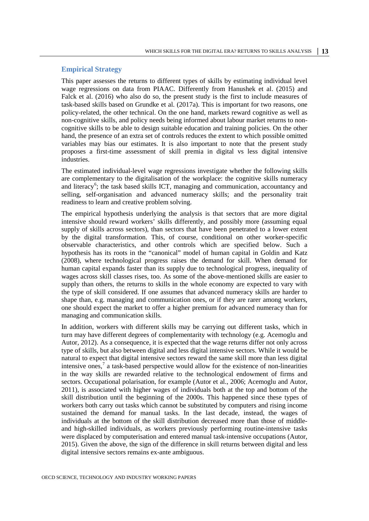#### <span id="page-12-0"></span>**Empirical Strategy**

This paper assesses the returns to different types of skills by estimating individual level wage regressions on data from PIAAC. Differently from Hanushek et al. (2015) and Falck et al. (2016) who also do so, the present study is the first to include measures of task-based skills based on Grundke et al. (2017a). This is important for two reasons, one policy-related, the other technical. On the one hand, markets reward cognitive as well as non-cognitive skills, and policy needs being informed about labour market returns to noncognitive skills to be able to design suitable education and training policies. On the other hand, the presence of an extra set of controls reduces the extent to which possible omitted variables may bias our estimates. It is also important to note that the present study proposes a first-time assessment of skill premia in digital vs less digital intensive industries.

The estimated individual-level wage regressions investigate whether the following skills are complementary to the digitalisation of the workplace: the cognitive skills numeracy and literacy<sup>[6](#page-31-6)</sup>; the task based skills ICT, managing and communication, accountancy and selling, self-organisation and advanced numeracy skills; and the personality trait readiness to learn and creative problem solving.

The empirical hypothesis underlying the analysis is that sectors that are more digital intensive should reward workers' skills differently, and possibly more (assuming equal supply of skills across sectors), than sectors that have been penetrated to a lower extent by the digital transformation. This, of course, conditional on other worker-specific observable characteristics, and other controls which are specified below. Such a hypothesis has its roots in the "canonical" model of human capital in Goldin and Katz (2008), where technological progress raises the demand for skill. When demand for human capital expands faster than its supply due to technological progress, inequality of wages across skill classes rises, too. As some of the above-mentioned skills are easier to supply than others, the returns to skills in the whole economy are expected to vary with the type of skill considered. If one assumes that advanced numeracy skills are harder to shape than, e.g. managing and communication ones, or if they are rarer among workers, one should expect the market to offer a higher premium for advanced numeracy than for managing and communication skills.

In addition, workers with different skills may be carrying out different tasks, which in turn may have different degrees of complementarity with technology (e.g. Acemoglu and Autor, 2012). As a consequence, it is expected that the wage returns differ not only across type of skills, but also between digital and less digital intensive sectors. While it would be natural to expect that digital intensive sectors reward the same skill more than less digital intensive ones,<sup>[7](#page-31-7)</sup> a task-based perspective would allow for the existence of non-linearities in the way skills are rewarded relative to the technological endowment of firms and sectors. Occupational polarisation, for example (Autor et al., 2006; Acemoglu and Autor, 2011), is associated with higher wages of individuals both at the top and bottom of the skill distribution until the beginning of the 2000s. This happened since these types of workers both carry out tasks which cannot be substituted by computers and rising income sustained the demand for manual tasks. In the last decade, instead, the wages of individuals at the bottom of the skill distribution decreased more than those of middleand high-skilled individuals, as workers previously performing routine-intensive tasks were displaced by computerisation and entered manual task-intensive occupations (Autor, 2015). Given the above, the sign of the difference in skill returns between digital and less digital intensive sectors remains ex-ante ambiguous.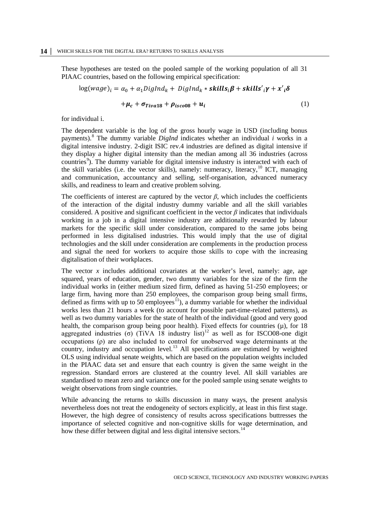These hypotheses are tested on the pooled sample of the working population of all 31 PIAAC countries, based on the following empirical specification:

$$
log(wage)_i = \alpha_0 + \alpha_1 DigInd_k + DigInd_k * skills_i \beta + skills_i \gamma + x_i \delta
$$
  
+  $\mu_c + \sigma_{Tiva18} + \rho_{isco08} + u_i$  (1)

for individual i.

The dependent variable is the log of the gross hourly wage in USD (including bonus payments). [8](#page-31-8) The dummy variable *DigInd* indicates whether an individual *i* works in a digital intensive industry. 2-digit ISIC rev.4 industries are defined as digital intensive if they display a higher digital intensity than the median among all 36 industries (across countries<sup>[9](#page-31-9)</sup>). The dummy variable for digital intensive industry is interacted with each of the skill variables (i.e. the vector skills), namely: numeracy, literacy, <sup>[10](#page-31-10)</sup> ICT, managing and communication, accountancy and selling, self-organisation, advanced numeracy skills, and readiness to learn and creative problem solving.

The coefficients of interest are captured by the vector  $\beta$ , which includes the coefficients of the interaction of the digital industry dummy variable and all the skill variables considered. A positive and significant coefficient in the vector  $\beta$  indicates that individuals working in a job in a digital intensive industry are additionally rewarded by labour markets for the specific skill under consideration, compared to the same jobs being performed in less digitalised industries. This would imply that the use of digital technologies and the skill under consideration are complements in the production process and signal the need for workers to acquire those skills to cope with the increasing digitalisation of their workplaces.

The vector *x* includes additional covariates at the worker's level, namely: age, age squared, years of education, gender, two dummy variables for the size of the firm the individual works in (either medium sized firm, defined as having 51-250 employees; or large firm, having more than 250 employees, the comparison group being small firms, defined as firms with up to 50 employees<sup> $I_1$ </sup>), a dummy variable for whether the individual works less than 21 hours a week (to account for possible part-time-related patterns), as well as two dummy variables for the state of health of the individual (good and very good health, the comparison group being poor health). Fixed effects for countries  $(\mu)$ , for 18 aggregated industries (σ) (TiVA 18 industry list)<sup>[12](#page-31-12)</sup> as well as for ISCO08-one digit occupations (ρ) are also included to control for unobserved wage determinants at the country, industry and occupation level.<sup>[13](#page-31-13)</sup> All specifications are estimated by weighted OLS using individual senate weights, which are based on the population weights included in the PIAAC data set and ensure that each country is given the same weight in the regression. Standard errors are clustered at the country level. All skill variables are standardised to mean zero and variance one for the pooled sample using senate weights to weight observations from single countries.

While advancing the returns to skills discussion in many ways, the present analysis nevertheless does not treat the endogeneity of sectors explicitly, at least in this first stage. However, the high degree of consistency of results across specifications buttresses the importance of selected cognitive and non-cognitive skills for wage determination, and how these differ between digital and less digital intensive sectors.<sup>[14](#page-31-14)</sup>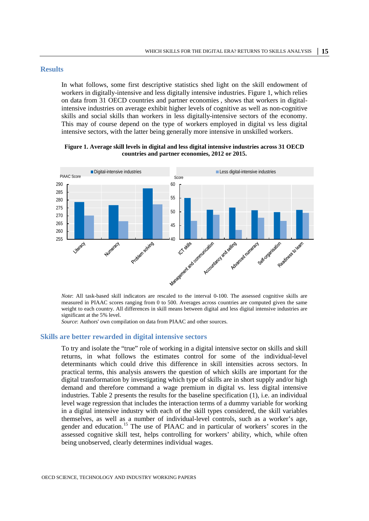#### <span id="page-14-0"></span>**Results**

In what follows, some first descriptive statistics shed light on the skill endowment of workers in digitally-intensive and less digitally intensive industries. Figure 1, which relies on data from 31 OECD countries and partner economies , shows that workers in digitalintensive industries on average exhibit higher levels of cognitive as well as non-cognitive skills and social skills than workers in less digitally-intensive sectors of the economy. This may of course depend on the type of workers employed in digital vs less digital intensive sectors, with the latter being generally more intensive in unskilled workers.

**Figure 1. Average skill levels in digital and less digital intensive industries across 31 OECD countries and partner economies, 2012 or 2015.**



*Note*: All task-based skill indicators are rescaled to the interval 0-100. The assessed cognitive skills are measured in PIAAC scores ranging from 0 to 500. Averages across countries are computed given the same weight to each country. All differences in skill means between digital and less digital intensive industries are significant at the 5% level.

*Source*: Authors' own compilation on data from PIAAC and other sources.

#### <span id="page-14-1"></span>**Skills are better rewarded in digital intensive sectors**

To try and isolate the "true" role of working in a digital intensive sector on skills and skill returns, in what follows the estimates control for some of the individual-level determinants which could drive this difference in skill intensities across sectors. In practical terms, this analysis answers the question of which skills are important for the digital transformation by investigating which type of skills are in short supply and/or high demand and therefore command a wage premium in digital vs. less digital intensive industries. Table 2 presents the results for the baseline specification (1), i.e. an individual level wage regression that includes the interaction terms of a dummy variable for working in a digital intensive industry with each of the skill types considered, the skill variables themselves, as well as a number of individual-level controls, such as a worker's age, gender and education. [15](#page-31-15) The use of PIAAC and in particular of workers' scores in the assessed cognitive skill test, helps controlling for workers' ability, which, while often being unobserved, clearly determines individual wages.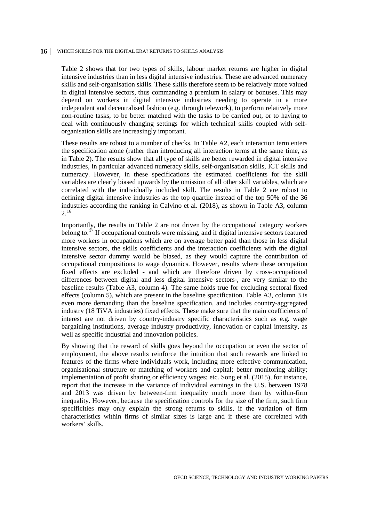Table 2 shows that for two types of skills, labour market returns are higher in digital intensive industries than in less digital intensive industries. These are advanced numeracy skills and self-organisation skills. These skills therefore seem to be relatively more valued in digital intensive sectors, thus commanding a premium in salary or bonuses. This may depend on workers in digital intensive industries needing to operate in a more independent and decentralised fashion (e.g. through telework), to perform relatively more non-routine tasks, to be better matched with the tasks to be carried out, or to having to deal with continuously changing settings for which technical skills coupled with selforganisation skills are increasingly important.

These results are robust to a number of checks. In Table A2, each interaction term enters the specification alone (rather than introducing all interaction terms at the same time, as in Table 2). The results show that all type of skills are better rewarded in digital intensive industries, in particular advanced numeracy skills, self-organisation skills, ICT skills and numeracy. However, in these specifications the estimated coefficients for the skill variables are clearly biased upwards by the omission of all other skill variables, which are correlated with the individually included skill. The results in Table 2 are robust to defining digital intensive industries as the top quartile instead of the top 50% of the 36 industries according the ranking in Calvino et al. (2018), as shown in Table A3, column  $2.^{16}$  $2.^{16}$  $2.^{16}$ 

Importantly, the results in Table 2 are not driven by the occupational category workers belong to.<sup>[17](#page-31-17)</sup> If occupational controls were missing, and if digital intensive sectors featured more workers in occupations which are on average better paid than those in less digital intensive sectors, the skills coefficients and the interaction coefficients with the digital intensive sector dummy would be biased, as they would capture the contribution of occupational compositions to wage dynamics. However, results where these occupation fixed effects are excluded - and which are therefore driven by cross-occupational differences between digital and less digital intensive sectors-, are very similar to the baseline results (Table A3, column 4). The same holds true for excluding sectoral fixed effects (column 5), which are present in the baseline specification. Table A3, column 3 is even more demanding than the baseline specification, and includes country-aggregated industry (18 TiVA industries) fixed effects. These make sure that the main coefficients of interest are not driven by country-industry specific characteristics such as e.g. wage bargaining institutions, average industry productivity, innovation or capital intensity, as well as specific industrial and innovation policies.

By showing that the reward of skills goes beyond the occupation or even the sector of employment, the above results reinforce the intuition that such rewards are linked to features of the firms where individuals work, including more effective communication, organisational structure or matching of workers and capital; better monitoring ability; implementation of profit sharing or efficiency wages; etc. Song et al. (2015), for instance, report that the increase in the variance of individual earnings in the U.S. between 1978 and 2013 was driven by between-firm inequality much more than by within-firm inequality. However, because the specification controls for the size of the firm, such firm specificities may only explain the strong returns to skills, if the variation of firm characteristics within firms of similar sizes is large and if these are correlated with workers' skills.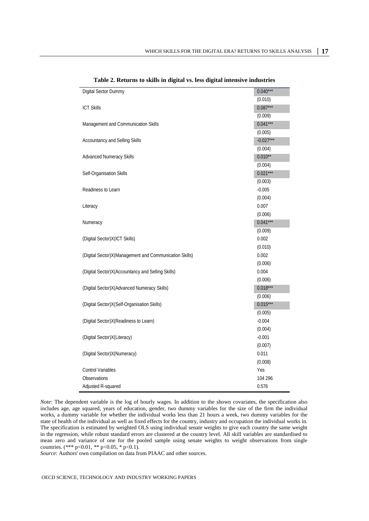| Digital Sector Dummy                                   | $0.040***$  |
|--------------------------------------------------------|-------------|
|                                                        | (0.010)     |
| <b>ICT Skills</b>                                      | $0.087***$  |
|                                                        | (0.009)     |
| Management and Communication Skills                    | $0.041***$  |
|                                                        | (0.005)     |
| Accountancy and Selling Skills                         | $-0.027***$ |
|                                                        | (0.004)     |
| <b>Advanced Numeracy Skills</b>                        | $0.010**$   |
|                                                        | (0.004)     |
| Self-Organisation Skills                               | $0.021***$  |
|                                                        | (0.003)     |
| Readiness to Learn                                     | $-0.005$    |
|                                                        | (0.004)     |
| Literacy                                               | 0.007       |
|                                                        | (0.006)     |
| Numeracy                                               | $0.041***$  |
|                                                        | (0.009)     |
| (Digital Sector) X (ICT Skills)                        | 0.002       |
|                                                        | (0.010)     |
| (Digital Sector)X(Management and Communication Skills) | 0.002       |
|                                                        | (0.006)     |
| (Digital Sector) X (Accountancy and Selling Skills)    | 0.004       |
|                                                        | (0.006)     |
| (Digital Sector)X(Advanced Numeracy Skills)            | $0.018***$  |
|                                                        | (0.006)     |
| (Digital Sector)X(Self-Organisation Skills)            | $0.015***$  |
|                                                        | (0.005)     |
| (Digital Sector) X (Readiness to Learn)                | $-0.004$    |
|                                                        | (0.004)     |
| (Digital Sector) X(Literacy)                           | $-0.001$    |
|                                                        | (0.007)     |
| (Digital Sector) X (Numeracy)                          | 0.011       |
|                                                        | (0.008)     |
| <b>Control Variables</b>                               | Yes         |
| Observations                                           | 104 296     |
| Adjusted R-squared                                     | 0.576       |

| Table 2. Returns to skills in digital vs. less digital intensive industries |  |  |  |  |  |
|-----------------------------------------------------------------------------|--|--|--|--|--|
|-----------------------------------------------------------------------------|--|--|--|--|--|

*Note*: The dependent variable is the log of hourly wages. In addition to the shown covariates, the specification also includes age, age squared, years of education, gender, two dummy variables for the size of the firm the individual works, a dummy variable for whether the individual works less than 21 hours a week, two dummy variables for the state of health of the individual as well as fixed effects for the country, industry and occupation the individual works in. The specification is estimated by weighted OLS using individual senate weights to give each country the same weight in the regression, while robust standard errors are clustered at the country level. All skill variables are standardised to mean zero and variance of one for the pooled sample using senate weights to weight observations from single countries. (\*\*\* p<0.01, \*\* p<0.05, \* p<0.1).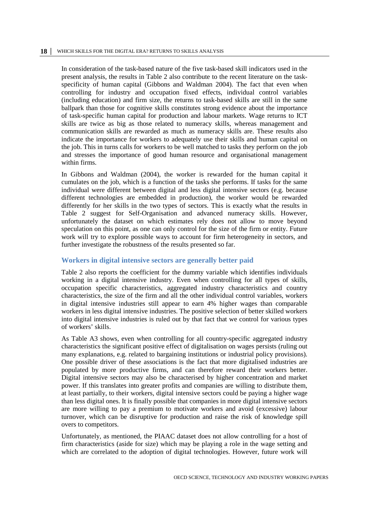In consideration of the task-based nature of the five task-based skill indicators used in the present analysis, the results in Table 2 also contribute to the recent literature on the taskspecificity of human capital (Gibbons and Waldman 2004). The fact that even when controlling for industry and occupation fixed effects, individual control variables (including education) and firm size, the returns to task-based skills are still in the same ballpark than those for cognitive skills constitutes strong evidence about the importance of task-specific human capital for production and labour markets. Wage returns to ICT skills are twice as big as those related to numeracy skills, whereas management and communication skills are rewarded as much as numeracy skills are. These results also indicate the importance for workers to adequately use their skills and human capital on the job. This in turns calls for workers to be well matched to tasks they perform on the job and stresses the importance of good human resource and organisational management within firms.

In Gibbons and Waldman (2004), the worker is rewarded for the human capital it cumulates on the job, which is a function of the tasks she performs. If tasks for the same individual were different between digital and less digital intensive sectors (e.g. because different technologies are embedded in production), the worker would be rewarded differently for her skills in the two types of sectors. This is exactly what the results in Table 2 suggest for Self-Organisation and advanced numeracy skills. However, unfortunately the dataset on which estimates rely does not allow to move beyond speculation on this point, as one can only control for the size of the firm or entity. Future work will try to explore possible ways to account for firm heterogeneity in sectors, and further investigate the robustness of the results presented so far.

#### <span id="page-17-0"></span>**Workers in digital intensive sectors are generally better paid**

Table 2 also reports the coefficient for the dummy variable which identifies individuals working in a digital intensive industry. Even when controlling for all types of skills, occupation specific characteristics, aggregated industry characteristics and country characteristics, the size of the firm and all the other individual control variables, workers in digital intensive industries still appear to earn 4% higher wages than comparable workers in less digital intensive industries. The positive selection of better skilled workers into digital intensive industries is ruled out by that fact that we control for various types of workers' skills.

As Table A3 shows, even when controlling for all country-specific aggregated industry characteristics the significant positive effect of digitalisation on wages persists (ruling out many explanations, e.g. related to bargaining institutions or industrial policy provisions). One possible driver of these associations is the fact that more digitalised industries are populated by more productive firms, and can therefore reward their workers better. Digital intensive sectors may also be characterised by higher concentration and market power. If this translates into greater profits and companies are willing to distribute them, at least partially, to their workers, digital intensive sectors could be paying a higher wage than less digital ones. It is finally possible that companies in more digital intensive sectors are more willing to pay a premium to motivate workers and avoid (excessive) labour turnover, which can be disruptive for production and raise the risk of knowledge spill overs to competitors.

Unfortunately, as mentioned, the PIAAC dataset does not allow controlling for a host of firm characteristics (aside for size) which may be playing a role in the wage setting and which are correlated to the adoption of digital technologies. However, future work will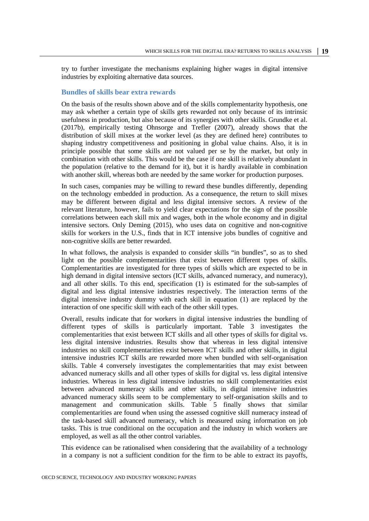try to further investigate the mechanisms explaining higher wages in digital intensive industries by exploiting alternative data sources.

#### <span id="page-18-0"></span>**Bundles of skills bear extra rewards**

On the basis of the results shown above and of the skills complementarity hypothesis, one may ask whether a certain type of skills gets rewarded not only because of its intrinsic usefulness in production, but also because of its synergies with other skills. Grundke et al. (2017b), empirically testing Ohnsorge and Trefler (2007), already shows that the distribution of skill mixes at the worker level (as they are defined here) contributes to shaping industry competitiveness and positioning in global value chains. Also, it is in principle possible that some skills are not valued per se by the market, but only in combination with other skills. This would be the case if one skill is relatively abundant in the population (relative to the demand for it), but it is hardly available in combination with another skill, whereas both are needed by the same worker for production purposes.

In such cases, companies may be willing to reward these bundles differently, depending on the technology embedded in production. As a consequence, the return to skill mixes may be different between digital and less digital intensive sectors. A review of the relevant literature, however, fails to yield clear expectations for the sign of the possible correlations between each skill mix and wages, both in the whole economy and in digital intensive sectors. Only Deming (2015), who uses data on cognitive and non-cognitive skills for workers in the U.S., finds that in ICT intensive jobs bundles of cognitive and non-cognitive skills are better rewarded.

In what follows, the analysis is expanded to consider skills "in bundles", so as to shed light on the possible complementarities that exist between different types of skills. Complementarities are investigated for three types of skills which are expected to be in high demand in digital intensive sectors (ICT skills, advanced numeracy, and numeracy), and all other skills. To this end, specification (1) is estimated for the sub-samples of digital and less digital intensive industries respectively. The interaction terms of the digital intensive industry dummy with each skill in equation (1) are replaced by the interaction of one specific skill with each of the other skill types.

Overall, results indicate that for workers in digital intensive industries the bundling of different types of skills is particularly important. Table 3 investigates the complementarities that exist between ICT skills and all other types of skills for digital vs. less digital intensive industries. Results show that whereas in less digital intensive industries no skill complementarities exist between ICT skills and other skills, in digital intensive industries ICT skills are rewarded more when bundled with self-organisation skills. Table 4 conversely investigates the complementarities that may exist between advanced numeracy skills and all other types of skills for digital vs. less digital intensive industries. Whereas in less digital intensive industries no skill complementarities exist between advanced numeracy skills and other skills, in digital intensive industries advanced numeracy skills seem to be complementary to self-organisation skills and to management and communication skills. Table 5 finally shows that similar complementarities are found when using the assessed cognitive skill numeracy instead of the task-based skill advanced numeracy, which is measured using information on job tasks. This is true conditional on the occupation and the industry in which workers are employed, as well as all the other control variables.

This evidence can be rationalised when considering that the availability of a technology in a company is not a sufficient condition for the firm to be able to extract its payoffs,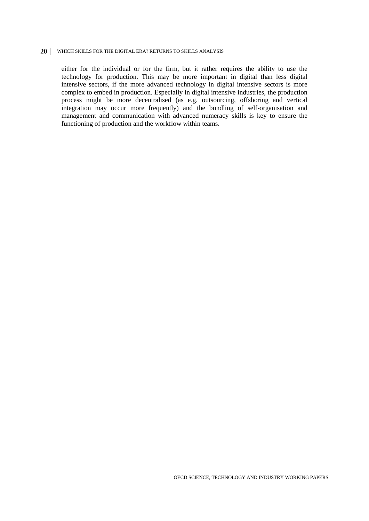either for the individual or for the firm, but it rather requires the ability to use the technology for production. This may be more important in digital than less digital intensive sectors, if the more advanced technology in digital intensive sectors is more complex to embed in production. Especially in digital intensive industries, the production process might be more decentralised (as e.g. outsourcing, offshoring and vertical integration may occur more frequently) and the bundling of self-organisation and management and communication with advanced numeracy skills is key to ensure the functioning of production and the workflow within teams.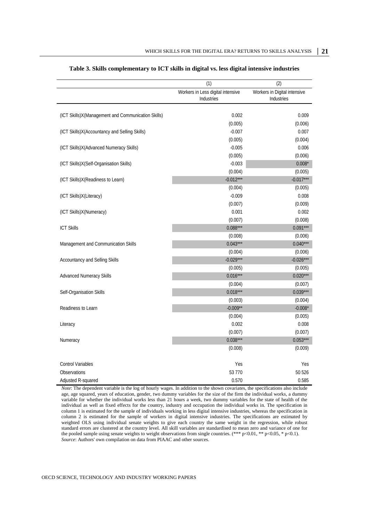|                                                    | (1)                               | (2)                          |
|----------------------------------------------------|-----------------------------------|------------------------------|
|                                                    | Workers in Less digital intensive | Workers in Digital intensive |
|                                                    | Industries                        | Industries                   |
|                                                    |                                   |                              |
| (ICT Skills)X(Management and Communication Skills) | 0.002                             | 0.009                        |
|                                                    | (0.005)                           | (0.006)                      |
| (ICT Skills)X(Accountancy and Selling Skills)      | $-0.007$                          | 0.007                        |
|                                                    | (0.005)                           | (0.004)                      |
| (ICT Skills)X(Advanced Numeracy Skills)            | $-0.005$                          | 0.006                        |
|                                                    | (0.005)                           | (0.006)                      |
| (ICT Skills)X(Self-Organisation Skills)            | $-0.003$                          | $0.008*$                     |
|                                                    | (0.004)                           | (0.005)                      |
| (ICT Skills)X(Readiness to Learn)                  | $-0.012***$                       | $-0.017***$                  |
|                                                    | (0.004)                           | (0.005)                      |
| (ICT Skills)X(Literacy)                            | $-0.009$                          | 0.008                        |
|                                                    | (0.007)                           | (0.009)                      |
| (ICT Skills)X(Numeracy)                            | 0.001                             | 0.002                        |
|                                                    | (0.007)                           | (0.008)                      |
| <b>ICT Skills</b>                                  | $0.088***$                        | $0.091***$                   |
|                                                    | (0.008)                           | (0.006)                      |
| Management and Communication Skills                | $0.043***$                        | $0.040***$                   |
|                                                    | (0.004)                           | (0.006)                      |
| Accountancy and Selling Skills                     | $-0.029***$                       | $-0.026***$                  |
|                                                    | (0.005)                           | (0.005)                      |
| <b>Advanced Numeracy Skills</b>                    | $0.016***$                        | $0.020***$                   |
|                                                    | (0.004)                           | (0.007)                      |
| Self-Organisation Skills                           | $0.018***$                        | $0.039***$                   |
|                                                    | (0.003)                           | (0.004)                      |
| Readiness to Learn                                 | $-0.009**$                        | $-0.008*$                    |
|                                                    | (0.004)                           | (0.005)                      |
| Literacy                                           | 0.002                             | 0.008                        |
|                                                    | (0.007)                           | (0.007)                      |
| Numeracy                                           | $0.038***$                        | $0.053***$                   |
|                                                    | (0.008)                           | (0.009)                      |
| <b>Control Variables</b>                           | Yes                               | Yes                          |
| Observations                                       | 53 770                            | 50 526                       |
| Adjusted R-squared                                 | 0.570                             | 0.585                        |

#### **Table 3. Skills complementary to ICT skills in digital vs. less digital intensive industries**

*Note*: The dependent variable is the log of hourly wages. In addition to the shown covariates, the specifications also include age, age squared, years of education, gender, two dummy variables for the size of the firm the individual works, a dummy variable for whether the individual works less than 21 hours a week, two dummy variables for the state of health of the individual as well as fixed effects for the country, industry and occupation the individual works in. The specification in column 1 is estimated for the sample of individuals working in less digital intensive industries, whereas the specification in column 2 is estimated for the sample of workers in digital intensive industries. The specifications are estimated by weighted OLS using individual senate weights to give each country the same weight in the regression, while robust standard errors are clustered at the country level. All skill variables are standardised to mean zero and variance of one for the pooled sample using senate weights to weight observations from single countries. (\*\*\* p<0.01, \*\* p<0.05, \* p<0.1). *Source*: Authors' own compilation on data from PIAAC and other sources.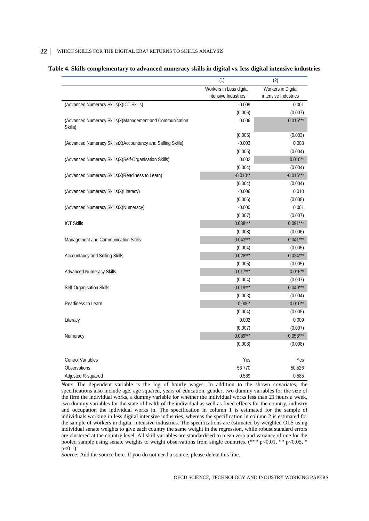| Table 4. Skills complementary to advanced numeracy skills in digital vs. less digital intensive industries |  |  |  |  |
|------------------------------------------------------------------------------------------------------------|--|--|--|--|
|------------------------------------------------------------------------------------------------------------|--|--|--|--|

|                                                                     | (1)                     | (2)                  |
|---------------------------------------------------------------------|-------------------------|----------------------|
|                                                                     | Workers in Less digital | Workers in Digital   |
|                                                                     | intensive Industries    | intensive Industries |
| (Advanced Numeracy Skills)X(ICT Skills)                             | $-0.009$                | 0.001                |
|                                                                     | (0.006)                 | (0.007)              |
| (Advanced Numeracy Skills)X(Management and Communication<br>Skills) | 0.006                   | $0.015***$           |
|                                                                     | (0.005)                 | (0.003)              |
| (Advanced Numeracy Skills)X(Accountancy and Selling Skills)         | $-0.003$                | 0.003                |
|                                                                     | (0.005)                 | (0.004)              |
| (Advanced Numeracy Skills)X(Self-Organisation Skills)               | 0.002                   | $0.010**$            |
|                                                                     | (0.004)                 | (0.004)              |
| (Advanced Numeracy Skills)X(Readiness to Learn)                     | $-0.010**$              | $-0.016***$          |
|                                                                     | (0.004)                 | (0.004)              |
| (Advanced Numeracy Skills)X(Literacy)                               | $-0.006$                | 0.010                |
|                                                                     | (0.006)                 | (0.008)              |
| (Advanced Numeracy Skills)X(Numeracy)                               | $-0.000$                | 0.001                |
|                                                                     | (0.007)                 | (0.007)              |
| <b>ICT Skills</b>                                                   | $0.088***$              | $0.091***$           |
|                                                                     | (0.008)                 | (0.006)              |
| Management and Communication Skills                                 | $0.043***$              | $0.041***$           |
|                                                                     | (0.004)                 | (0.005)              |
| Accountancy and Selling Skills                                      | $-0.028***$             | $-0.024***$          |
|                                                                     | (0.005)                 | (0.005)              |
| <b>Advanced Numeracy Skills</b>                                     | $0.017***$              | $0.016***$           |
|                                                                     | (0.004)                 | (0.007)              |
| Self-Organisation Skills                                            | $0.019***$              | $0.040***$           |
|                                                                     | (0.003)                 | (0.004)              |
| Readiness to Learn                                                  | $-0.006*$               | $-0.010**$           |
|                                                                     | (0.004)                 | (0.005)              |
| Literacy                                                            | 0.002                   | 0.009                |
|                                                                     | (0.007)                 | (0.007)              |
| Numeracy                                                            | $0.039***$              | $0.053***$           |
|                                                                     | (0.008)                 | (0.008)              |
| <b>Control Variables</b>                                            | Yes                     | Yes                  |
| Observations                                                        | 53 770                  | 50 526               |
| Adjusted R-squared                                                  | 0.569                   | 0.585                |

*Note*: The dependent variable is the log of hourly wages. In addition to the shown covariates, the specifications also include age, age squared, years of education, gender, two dummy variables for the size of the firm the individual works, a dummy variable for whether the individual works less than 21 hours a week, two dummy variables for the state of health of the individual as well as fixed effects for the country, industry and occupation the individual works in. The specification in column 1 is estimated for the sample of individuals working in less digital intensive industries, whereas the specification in column 2 is estimated for the sample of workers in digital intensive industries. The specifications are estimated by weighted OLS using individual senate weights to give each country the same weight in the regression, while robust standard errors are clustered at the country level. All skill variables are standardised to mean zero and variance of one for the pooled sample using senate weights to weight observations from single countries. (\*\*\* p<0.01, \*\* p<0.05, \* p<0.1).

*Source*: Add the source here. If you do not need a source, please delete this line.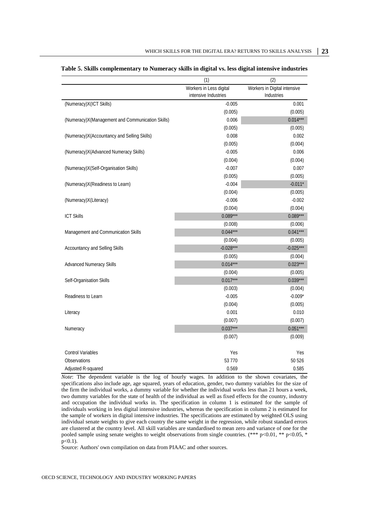|                                                  | (1)                                             | (2)                                        |
|--------------------------------------------------|-------------------------------------------------|--------------------------------------------|
|                                                  | Workers in Less digital<br>intensive Industries | Workers in Digital intensive<br>Industries |
| (Numeracy) X (ICT Skills)                        | $-0.005$                                        | 0.001                                      |
|                                                  | (0.005)                                         | (0.005)                                    |
| (Numeracy)X(Management and Communication Skills) | 0.006                                           | $0.014***$                                 |
|                                                  | (0.005)                                         | (0.005)                                    |
| (Numeracy)X(Accountancy and Selling Skills)      | 0.008                                           | 0.002                                      |
|                                                  | (0.005)                                         | (0.004)                                    |
| (Numeracy) X (Advanced Numeracy Skills)          | $-0.005$                                        | 0.006                                      |
|                                                  | (0.004)                                         | (0.004)                                    |
| (Numeracy)X(Self-Organisation Skills)            | $-0.007$                                        | 0.007                                      |
|                                                  | (0.005)                                         | (0.005)                                    |
| (Numeracy)X(Readiness to Learn)                  | $-0.004$                                        | $-0.011*$                                  |
|                                                  | (0.004)                                         | (0.005)                                    |
| (Numeracy)X(Literacy)                            | $-0.006$                                        | $-0.002$                                   |
|                                                  | (0.004)                                         | (0.004)                                    |
| <b>ICT Skills</b>                                | $0.089***$                                      | $0.089***$                                 |
|                                                  | (0.008)                                         | (0.006)                                    |
| Management and Communication Skills              | $0.044***$                                      | $0.041***$                                 |
|                                                  | (0.004)                                         | (0.005)                                    |
| Accountancy and Selling Skills                   | $-0.028***$                                     | $-0.025***$                                |
|                                                  | (0.005)                                         | (0.004)                                    |
| <b>Advanced Numeracy Skills</b>                  | $0.014***$                                      | $0.023***$                                 |
|                                                  | (0.004)                                         | (0.005)                                    |
| Self-Organisation Skills                         | $0.017***$                                      | $0.039***$                                 |
|                                                  | (0.003)                                         | (0.004)                                    |
| Readiness to Learn                               | $-0.005$                                        | $-0.009*$                                  |
|                                                  | (0.004)                                         | (0.005)                                    |
| Literacy                                         | 0.001                                           | 0.010                                      |
|                                                  | (0.007)                                         | (0.007)                                    |
| Numeracy                                         | $0.037***$                                      | $0.051***$                                 |
|                                                  | (0.007)                                         | (0.009)                                    |
|                                                  |                                                 |                                            |
| <b>Control Variables</b>                         | Yes                                             | Yes                                        |
| Observations                                     | 53 770                                          | 50 526                                     |
| Adjusted R-squared                               | 0.569                                           | 0.585                                      |

|  |  | Table 5. Skills complementary to Numeracy skills in digital vs. less digital intensive industries |  |  |  |  |  |  |
|--|--|---------------------------------------------------------------------------------------------------|--|--|--|--|--|--|
|--|--|---------------------------------------------------------------------------------------------------|--|--|--|--|--|--|

*Note*: The dependent variable is the log of hourly wages. In addition to the shown covariates, the specifications also include age, age squared, years of education, gender, two dummy variables for the size of the firm the individual works, a dummy variable for whether the individual works less than 21 hours a week, two dummy variables for the state of health of the individual as well as fixed effects for the country, industry and occupation the individual works in. The specification in column 1 is estimated for the sample of individuals working in less digital intensive industries, whereas the specification in column 2 is estimated for the sample of workers in digital intensive industries. The specifications are estimated by weighted OLS using individual senate weights to give each country the same weight in the regression, while robust standard errors are clustered at the country level. All skill variables are standardised to mean zero and variance of one for the pooled sample using senate weights to weight observations from single countries. (\*\*\* p<0.01, \*\* p<0.05, \* p<0.1).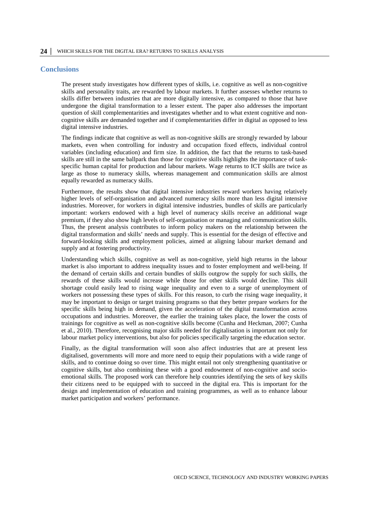#### <span id="page-23-0"></span>**Conclusions**

The present study investigates how different types of skills, i.e. cognitive as well as non-cognitive skills and personality traits, are rewarded by labour markets. It further assesses whether returns to skills differ between industries that are more digitally intensive, as compared to those that have undergone the digital transformation to a lesser extent. The paper also addresses the important question of skill complementarities and investigates whether and to what extent cognitive and noncognitive skills are demanded together and if complementarities differ in digital as opposed to less digital intensive industries.

The findings indicate that cognitive as well as non-cognitive skills are strongly rewarded by labour markets, even when controlling for industry and occupation fixed effects, individual control variables (including education) and firm size. In addition, the fact that the returns to task-based skills are still in the same ballpark than those for cognitive skills highlights the importance of taskspecific human capital for production and labour markets. Wage returns to ICT skills are twice as large as those to numeracy skills, whereas management and communication skills are almost equally rewarded as numeracy skills.

Furthermore, the results show that digital intensive industries reward workers having relatively higher levels of self-organisation and advanced numeracy skills more than less digital intensive industries. Moreover, for workers in digital intensive industries, bundles of skills are particularly important: workers endowed with a high level of numeracy skills receive an additional wage premium, if they also show high levels of self-organisation or managing and communication skills. Thus, the present analysis contributes to inform policy makers on the relationship between the digital transformation and skills' needs and supply. This is essential for the design of effective and forward-looking skills and employment policies, aimed at aligning labour market demand and supply and at fostering productivity.

Understanding which skills, cognitive as well as non-cognitive, yield high returns in the labour market is also important to address inequality issues and to foster employment and well-being. If the demand of certain skills and certain bundles of skills outgrow the supply for such skills, the rewards of these skills would increase while those for other skills would decline. This skill shortage could easily lead to rising wage inequality and even to a surge of unemployment of workers not possessing these types of skills. For this reason, to curb the rising wage inequality, it may be important to design or target training programs so that they better prepare workers for the specific skills being high in demand, given the acceleration of the digital transformation across occupations and industries. Moreover, the earlier the training takes place, the lower the costs of trainings for cognitive as well as non-cognitive skills become (Cunha and Heckman, 2007; Cunha et al., 2010). Therefore, recognising major skills needed for digitalisation is important not only for labour market policy interventions, but also for policies specifically targeting the education sector.

Finally, as the digital transformation will soon also affect industries that are at present less digitalised, governments will more and more need to equip their populations with a wide range of skills, and to continue doing so over time. This might entail not only strengthening quantitative or cognitive skills, but also combining these with a good endowment of non-cognitive and socioemotional skills. The proposed work can therefore help countries identifying the sets of key skills their citizens need to be equipped with to succeed in the digital era. This is important for the design and implementation of education and training programmes, as well as to enhance labour market participation and workers' performance.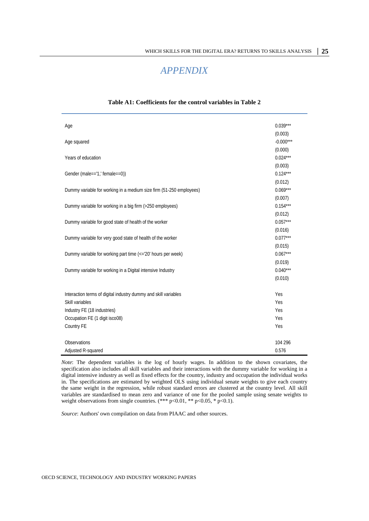## *APPENDIX*

<span id="page-24-0"></span>

| Age                                                                 | $0.039***$  |
|---------------------------------------------------------------------|-------------|
|                                                                     | (0.003)     |
| Age squared                                                         | $-0.000***$ |
|                                                                     | (0.000)     |
| Years of education                                                  | $0.024***$  |
|                                                                     | (0.003)     |
| Gender (male=='1,' female==0))                                      | $0.124***$  |
|                                                                     | (0.012)     |
| Dummy variable for working in a medium size firm (51-250 employees) | $0.069***$  |
|                                                                     | (0.007)     |
| Dummy variable for working in a big firm (>250 employees)           | $0.154***$  |
|                                                                     | (0.012)     |
| Dummy variable for good state of health of the worker               | $0.057***$  |
|                                                                     | (0.016)     |
| Dummy variable for very good state of health of the worker          | $0.077***$  |
|                                                                     | (0.015)     |
| Dummy variable for working part time (<='20' hours per week)        | $0.067***$  |
|                                                                     | (0.019)     |
| Dummy variable for working in a Digital intensive Industry          | $0.040***$  |
|                                                                     | (0.010)     |
| Interaction terms of digital industry dummy and skill variables     | Yes         |
| Skill variables                                                     | Yes         |
| Industry FE (18 industries)                                         | Yes         |
| Occupation FE (1 digit isco08)                                      | Yes         |
| Country FE                                                          | Yes         |
|                                                                     |             |
| Observations                                                        | 104 296     |
| Adjusted R-squared                                                  | 0.576       |

#### **Table A1: Coefficients for the control variables in Table 2**

*Note*: The dependent variables is the log of hourly wages. In addition to the shown covariates, the specification also includes all skill variables and their interactions with the dummy variable for working in a digital intensive industry as well as fixed effects for the country, industry and occupation the individual works in. The specifications are estimated by weighted OLS using individual senate weights to give each country the same weight in the regression, while robust standard errors are clustered at the country level. All skill variables are standardised to mean zero and variance of one for the pooled sample using senate weights to weight observations from single countries. (\*\*\* p<0.01, \*\* p<0.05, \* p<0.1).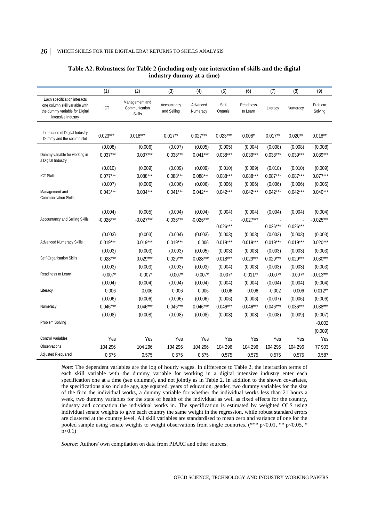|                                                                                                                        | (1)                              | (2)                                              | (3)                              | (4)                              | (5)                                               | (6)                              | (7)                              | (8)                              | (9)                              |
|------------------------------------------------------------------------------------------------------------------------|----------------------------------|--------------------------------------------------|----------------------------------|----------------------------------|---------------------------------------------------|----------------------------------|----------------------------------|----------------------------------|----------------------------------|
| Each specification interacts<br>one column skill variable with<br>the dummy variable for Digital<br>intensive Industry | ICT                              | Management and<br>Communication<br><b>Skills</b> | Accountancy<br>and Selling       | Advanced<br>Numeracy             | Self-<br>Organis.                                 | Readiness<br>to Learn            | Literacy                         | Numeracy                         | Problem<br>Solving               |
| Interaction of Digital Industry<br>Dummy and the column skill                                                          | $0.023***$                       | $0.018***$                                       | $0.017**$                        | $0.027***$                       | $0.023***$                                        | $0.008*$                         | $0.017**$                        | $0.020**$                        | $0.018**$                        |
| Dummy variable for working in<br>a Digital Industry                                                                    | (0.008)<br>$0.037***$            | (0.006)<br>$0.037***$                            | (0.007)<br>$0.038***$            | (0.005)<br>$0.041***$            | (0.005)<br>$0.038***$                             | (0.004)<br>$0.039***$            | (0.008)<br>$0.038***$            | (0.008)<br>$0.039***$            | (0.008)<br>$0.039***$            |
| <b>ICT Skills</b>                                                                                                      | (0.010)<br>$0.077***$<br>(0.007) | (0.009)<br>$0.088***$<br>(0.006)                 | (0.009)<br>$0.088***$<br>(0.006) | (0.009)<br>$0.088***$<br>(0.006) | (0.010)<br>$0.088***$<br>(0.006)                  | (0.009)<br>$0.088***$<br>(0.006) | (0.010)<br>$0.087***$<br>(0.006) | (0.010)<br>$0.087***$<br>(0.006) | (0.009)<br>$0.077***$<br>(0.005) |
| Management and<br><b>Communication Skills</b>                                                                          | $0.043***$                       | $0.034***$                                       | $0.041***$                       | $0.042***$                       | $0.042***$                                        | $0.042***$                       | $0.042***$                       | $0.042***$                       | $0.040***$                       |
| <b>Accountancy and Selling Skills</b>                                                                                  | (0.004)<br>$-0.026***$           | (0.005)<br>$-0.027***$                           | (0.004)<br>$-0.036***$           | (0.004)<br>$-0.026***$           | (0.004)<br>$\overline{\phantom{a}}$<br>$0.026***$ | (0.004)<br>$-0.027***$           | (0.004)<br>$0.026***$            | (0.004)<br>$0.026***$            | (0.004)<br>$-0.025***$           |
| <b>Advanced Numeracy Skills</b>                                                                                        | (0.003)<br>$0.019***$            | (0.003)<br>$0.019***$                            | (0.004)<br>$0.019***$            | (0.003)<br>0.006                 | (0.003)<br>$0.019***$                             | (0.003)<br>$0.019***$            | (0.003)<br>$0.019***$            | (0.003)<br>$0.019***$            | (0.003)<br>$0.020***$            |
| Self-Organisation Skills                                                                                               | (0.003)<br>$0.028***$<br>(0.003) | (0.003)<br>$0.029***$<br>(0.003)                 | (0.003)<br>$0.029***$<br>(0.003) | (0.005)<br>$0.028***$<br>(0.003) | (0.003)<br>$0.018***$<br>(0.004)                  | (0.003)<br>$0.029***$<br>(0.003) | (0.003)<br>$0.029***$<br>(0.003) | (0.003)<br>$0.029***$<br>(0.003) | (0.003)<br>$0.030***$<br>(0.003) |
| Readiness to Learn                                                                                                     | $-0.007*$<br>(0.004)             | $-0.007*$<br>(0.004)                             | $-0.007*$<br>(0.004)             | $-0.007*$<br>(0.004)             | $-0.007*$<br>(0.004)                              | $-0.011**$<br>(0.004)            | $-0.007*$<br>(0.004)             | $-0.007*$<br>(0.004)             | $-0.013***$<br>(0.004)           |
| Literacy                                                                                                               | 0.006<br>(0.006)                 | 0.006<br>(0.006)                                 | 0.006<br>(0.006)                 | 0.006<br>(0.006)                 | 0.006<br>(0.006)                                  | 0.006<br>(0.006)                 | $-0.002$<br>(0.007)              | 0.006<br>(0.006)                 | $0.012**$<br>(0.006)             |
| Numeracy                                                                                                               | $0.046***$<br>(0.008)            | $0.046***$<br>(0.008)                            | $0.046***$<br>(0.008)            | $0.046***$<br>(0.008)            | $0.046***$<br>(0.008)                             | $0.046***$<br>(0.008)            | $0.046***$<br>(0.008)            | $0.036***$<br>(0.009)            | $0.038***$<br>(0.007)            |
| Problem Solving                                                                                                        |                                  |                                                  |                                  |                                  |                                                   |                                  |                                  |                                  | $-0.002$<br>(0.009)              |
| Control Variables                                                                                                      | Yes                              | Yes                                              | Yes                              | Yes                              | Yes                                               | Yes                              | Yes                              | Yes                              | Yes                              |
| Observations                                                                                                           | 104 296                          | 104 296                                          | 104 296                          | 104 296                          | 104 296                                           | 104 296                          | 104 296                          | 104 296                          | 77 903                           |
| Adjusted R-squared                                                                                                     | 0.575                            | 0.575                                            | 0.575                            | 0.575                            | 0.575                                             | 0.575                            | 0.575                            | 0.575                            | 0.587                            |

#### **Table A2. Robustness for Table 2 (including only one interaction of skills and the digital industry dummy at a time)**

*Note*: The dependent variables are the log of hourly wages. In difference to Table 2, the interaction terms of each skill variable with the dummy variable for working in a digital intensive industry enter each specification one at a time (see columns), and not jointly as in Table 2. In addition to the shown covariates, the specifications also include age, age squared, years of education, gender, two dummy variables for the size of the firm the individual works, a dummy variable for whether the individual works less than 21 hours a week, two dummy variables for the state of health of the individual as well as fixed effects for the country, industry and occupation the individual works in. The specification is estimated by weighted OLS using individual senate weights to give each country the same weight in the regression, while robust standard errors are clustered at the country level. All skill variables are standardised to mean zero and variance of one for the pooled sample using senate weights to weight observations from single countries. (\*\*\*  $p<0.01$ , \*\*  $p<0.05$ , \*  $p<0.1$ )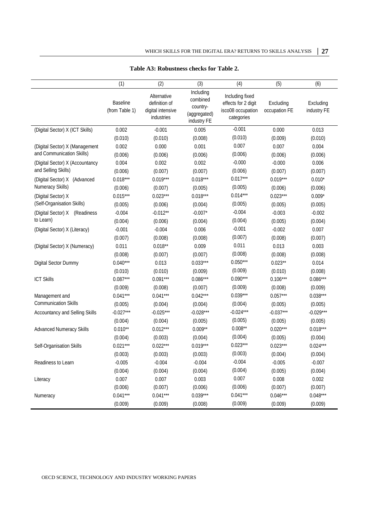|                                  | (1)                                                                                           | (2)         | (3)                                                              | (4)                                                                       | (5)                        | (6)                      |
|----------------------------------|-----------------------------------------------------------------------------------------------|-------------|------------------------------------------------------------------|---------------------------------------------------------------------------|----------------------------|--------------------------|
|                                  | Alternative<br>Baseline<br>definition of<br>(from Table 1)<br>digital intensive<br>industries |             | Including<br>combined<br>country-<br>(aggregated)<br>industry FE | Including fixed<br>effects for 2 digit<br>isco08 occupation<br>categories | Excluding<br>occupation FE | Excluding<br>industry FE |
| (Digital Sector) X (ICT Skills)  | 0.002                                                                                         | $-0.001$    | 0.005                                                            | $-0.001$                                                                  | 0.000                      | 0.013                    |
|                                  | (0.010)                                                                                       | (0.010)     | (0.008)                                                          | (0.010)                                                                   | (0.009)                    | (0.010)                  |
| (Digital Sector) X (Management   | 0.002                                                                                         | 0.000       | 0.001                                                            | 0.007                                                                     | 0.007                      | 0.004                    |
| and Communication Skills)        | (0.006)                                                                                       | (0.006)     | (0.006)                                                          | (0.006)                                                                   | (0.006)                    | (0.006)                  |
| (Digital Sector) X (Accountancy  | 0.004                                                                                         | 0.002       | 0.002                                                            | $-0.000$                                                                  | $-0.000$                   | 0.006                    |
| and Selling Skills)              | (0.006)                                                                                       | (0.007)     | (0.007)                                                          | (0.006)                                                                   | (0.007)                    | (0.007)                  |
| (Digital Sector) X (Advanced     | $0.018***$                                                                                    | $0.019***$  | $0.018***$                                                       | $0.017***$                                                                | $0.019***$                 | $0.010*$                 |
| Numeracy Skills)                 | (0.006)                                                                                       | (0.007)     | (0.005)                                                          | (0.005)                                                                   | (0.006)                    | (0.006)                  |
| (Digital Sector) X               | $0.015***$                                                                                    | $0.023***$  | $0.018***$                                                       | $0.014***$                                                                | $0.023***$                 | $0.009*$                 |
| (Self-Organisation Skills)       | (0.005)                                                                                       | (0.006)     | (0.004)                                                          | (0.005)                                                                   | (0.005)                    | (0.005)                  |
| (Readiness<br>(Digital Sector) X | $-0.004$                                                                                      | $-0.012**$  | $-0.007*$                                                        | $-0.004$                                                                  | $-0.003$                   | $-0.002$                 |
| to Learn)                        | (0.004)                                                                                       | (0.006)     | (0.004)                                                          | (0.004)                                                                   | (0.005)                    | (0.004)                  |
| (Digital Sector) X (Literacy)    | $-0.001$                                                                                      | $-0.004$    | 0.006                                                            | $-0.001$                                                                  | $-0.002$                   | 0.007                    |
|                                  | (0.007)                                                                                       | (0.008)     | (0.008)                                                          | (0.007)                                                                   | (0.008)                    | (0.007)                  |
| (Digital Sector) X (Numeracy)    | 0.011                                                                                         | $0.018***$  | 0.009                                                            | 0.011                                                                     | 0.013                      | 0.003                    |
|                                  | (0.008)                                                                                       | (0.007)     | (0.007)                                                          | (0.008)                                                                   | (0.008)                    | (0.008)                  |
| Digital Sector Dummy             | $0.040***$                                                                                    | 0.013       | $0.033***$                                                       | $0.050***$                                                                | $0.023**$                  | 0.014                    |
|                                  | (0.010)                                                                                       | (0.010)     | (0.009)                                                          | (0.009)                                                                   | (0.010)                    | (0.008)                  |
| <b>ICT Skills</b>                | $0.087***$                                                                                    | $0.091***$  | $0.086***$                                                       | $0.090***$                                                                | $0.106***$                 | $0.086***$               |
|                                  | (0.009)                                                                                       | (0.008)     | (0.007)                                                          | (0.009)                                                                   | (0.008)                    | (0.009)                  |
| Management and                   | $0.041***$                                                                                    | $0.041***$  | $0.042***$                                                       | $0.039***$                                                                | $0.057***$                 | $0.038***$               |
| <b>Communication Skills</b>      | (0.005)                                                                                       | (0.004)     | (0.004)                                                          | (0.004)                                                                   | (0.005)                    | (0.005)                  |
| Accountancy and Selling Skills   | $-0.027***$                                                                                   | $-0.025***$ | $-0.028***$                                                      | $-0.024***$                                                               | $-0.037***$                | $-0.029***$              |
|                                  | (0.004)                                                                                       | (0.004)     | (0.005)                                                          | (0.005)                                                                   | (0.005)                    | (0.005)                  |
| <b>Advanced Numeracy Skills</b>  | $0.010**$                                                                                     | $0.012***$  | $0.009**$                                                        | $0.008**$                                                                 | $0.020***$                 | $0.018***$               |
|                                  | (0.004)                                                                                       | (0.003)     | (0.004)                                                          | (0.004)                                                                   | (0.005)                    | (0.004)                  |
| Self-Organisation Skills         | $0.021***$                                                                                    | $0.022***$  | $0.019***$                                                       | $0.023***$                                                                | $0.023***$                 | $0.024***$               |
|                                  | (0.003)                                                                                       | (0.003)     | (0.003)                                                          | (0.003)                                                                   | (0.004)                    | (0.004)                  |
| Readiness to Learn               | $-0.005$                                                                                      | $-0.004$    | $-0.004$                                                         | $-0.004$                                                                  | $-0.005$                   | $-0.007$                 |
|                                  | (0.004)                                                                                       | (0.004)     | (0.004)                                                          | (0.004)                                                                   | (0.005)                    | (0.004)                  |
| Literacy                         | 0.007                                                                                         | 0.007       | 0.003                                                            | 0.007                                                                     | 0.008                      | 0.002                    |
|                                  | (0.006)                                                                                       | (0.007)     | (0.006)                                                          | (0.006)                                                                   | (0.007)                    | (0.007)                  |
| Numeracy                         | $0.041***$                                                                                    | $0.041***$  | $0.039***$                                                       | $0.041***$                                                                | $0.046***$                 | $0.048***$               |
|                                  | (0.009)                                                                                       | (0.009)     | (0.008)                                                          | (0.009)                                                                   | (0.009)                    | (0.009)                  |

#### **Table A3: Robustness checks for Table 2.**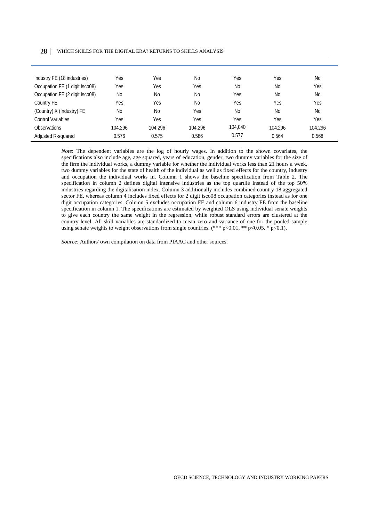| 28 | WHICH SKILLS FOR THE DIGITAL ERA? RETURNS TO SKILLS ANALYSIS |  |  |  |  |
|----|--------------------------------------------------------------|--|--|--|--|
|----|--------------------------------------------------------------|--|--|--|--|

| Industry FE (18 industries)    | Yes            | Yes       | <b>No</b> | Yes     | Yes       | N <sub>0</sub> |
|--------------------------------|----------------|-----------|-----------|---------|-----------|----------------|
| Occupation FE (1 digit Isco08) | Yes            | Yes       | Yes       | No      | <b>No</b> | Yes            |
| Occupation FE (2 digit Isco08) | <b>No</b>      | <b>No</b> | <b>No</b> | Yes     | No        | N <sub>0</sub> |
| Country FE                     | Yes            | Yes       | No        | Yes     | Yes       | Yes            |
| (Country) X (Industry) FE      | N <sub>0</sub> | <b>No</b> | Yes       | No      | No        | N <sub>0</sub> |
| Control Variables              | Yes            | Yes       | Yes       | Yes     | Yes       | Yes            |
| Observations                   | 104.296        | 104.296   | 104.296   | 104,040 | 104.296   | 104,296        |
| Adjusted R-squared             | 0.576          | 0.575     | 0.586     | 0.577   | 0.564     | 0.568          |

*Note*: The dependent variables are the log of hourly wages. In addition to the shown covariates, the specifications also include age, age squared, years of education, gender, two dummy variables for the size of the firm the individual works, a dummy variable for whether the individual works less than 21 hours a week, two dummy variables for the state of health of the individual as well as fixed effects for the country, industry and occupation the individual works in. Column 1 shows the baseline specification from Table 2. The specification in column 2 defines digital intensive industries as the top quartile instead of the top 50% industries regarding the digitalisation index. Column 3 additionally includes combined country-18 aggregated sector FE, whereas column 4 includes fixed effects for 2 digit isco08 occupation categories instead as for one digit occupation categories. Column 5 excludes occupation FE and column 6 industry FE from the baseline specification in column 1. The specifications are estimated by weighted OLS using individual senate weights to give each country the same weight in the regression, while robust standard errors are clustered at the country level. All skill variables are standardized to mean zero and variance of one for the pooled sample using senate weights to weight observations from single countries. (\*\*\* p<0.01, \*\* p<0.05, \* p<0.1).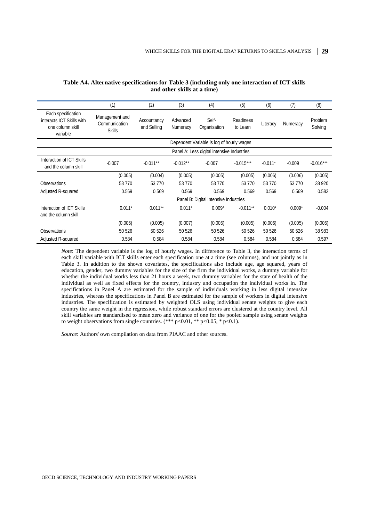|                                                                                 | (1)                                                                            | (2)                                   | (3)                  | (4)                   | (5)                   | (6)       | (7)      | (8)                |
|---------------------------------------------------------------------------------|--------------------------------------------------------------------------------|---------------------------------------|----------------------|-----------------------|-----------------------|-----------|----------|--------------------|
| Each specification<br>interacts ICT Skills with<br>one column skill<br>variable | Management and<br>Accountancy<br>Communication<br>and Selling<br><b>Skills</b> |                                       | Advanced<br>Numeracy | Self-<br>Organisation | Readiness<br>to Learn | Literacy  | Numeracy | Problem<br>Solving |
|                                                                                 | Dependent Variable is log of hourly wages                                      |                                       |                      |                       |                       |           |          |                    |
|                                                                                 | Panel A: Less digital intensive Industries                                     |                                       |                      |                       |                       |           |          |                    |
| Interaction of ICT Skills<br>and the column skill                               | $-0.007$                                                                       | $-0.011**$                            | $-0.012**$           | $-0.007$              | $-0.015***$           | $-0.011*$ | $-0.009$ | $-0.016***$        |
|                                                                                 | (0.005)                                                                        | (0.004)                               | (0.005)              | (0.005)               | (0.005)               | (0.006)   | (0.006)  | (0.005)            |
| <b>Observations</b>                                                             | 53 770                                                                         | 53 7 7 0                              | 53 770               | 53 770                | 53 770                | 53 770    | 53 770   | 38 9 20            |
| Adjusted R-squared                                                              | 0.569                                                                          | 0.569                                 | 0.569                | 0.569                 | 0.569                 | 0.569     | 0.569    | 0.582              |
|                                                                                 |                                                                                | Panel B: Digital intensive Industries |                      |                       |                       |           |          |                    |
| Interaction of ICT Skills<br>and the column skill                               | $0.011*$                                                                       | $0.011**$                             | $0.011*$             | $0.009*$              | $-0.011**$            | $0.010*$  | $0.009*$ | $-0.004$           |
|                                                                                 | (0.006)                                                                        | (0.005)                               | (0.007)              | (0.005)               | (0.005)               | (0.006)   | (0.005)  | (0.005)            |
| <b>Observations</b>                                                             | 50 526                                                                         | 50 526                                | 50 526               | 50 526                | 50 526                | 50 526    | 50 526   | 38 983             |
| Adjusted R-squared                                                              | 0.584                                                                          | 0.584                                 | 0.584                | 0.584                 | 0.584                 | 0.584     | 0.584    | 0.597              |

**Table A4. Alternative specifications for Table 3 (including only one interaction of ICT skills and other skills at a time)**

*Note*: The dependent variable is the log of hourly wages. In difference to Table 3, the interaction terms of each skill variable with ICT skills enter each specification one at a time (see columns), and not jointly as in Table 3. In addition to the shown covariates, the specifications also include age, age squared, years of education, gender, two dummy variables for the size of the firm the individual works, a dummy variable for whether the individual works less than 21 hours a week, two dummy variables for the state of health of the individual as well as fixed effects for the country, industry and occupation the individual works in. The specifications in Panel A are estimated for the sample of individuals working in less digital intensive industries, whereas the specifications in Panel B are estimated for the sample of workers in digital intensive industries. The specification is estimated by weighted OLS using individual senate weights to give each country the same weight in the regression, while robust standard errors are clustered at the country level. All skill variables are standardised to mean zero and variance of one for the pooled sample using senate weights to weight observations from single countries. (\*\*\* p<0.01, \*\* p<0.05, \* p<0.1).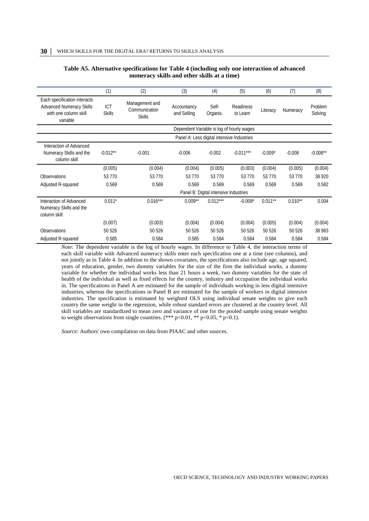#### **Table A5. Alternative specifications for Table 4 (including only one interaction of advanced numeracy skills and other skills at a time)**

|                                                                                                      | (1)                         | (2)                                              | (3)                                        | (4)                                   | (5)                   | (6)        | (7)       | (8)                |
|------------------------------------------------------------------------------------------------------|-----------------------------|--------------------------------------------------|--------------------------------------------|---------------------------------------|-----------------------|------------|-----------|--------------------|
| Each specification interacts<br><b>Advanced Numeracy Skills</b><br>with one column skill<br>variable | <b>ICT</b><br><b>Skills</b> | Management and<br>Communication<br><b>Skills</b> | Accountancy<br>and Selling                 | Self-<br>Organis.                     | Readiness<br>to Learn | Literacy   | Numeracy  | Problem<br>Solving |
|                                                                                                      |                             |                                                  | Dependent Variable is log of hourly wages  |                                       |                       |            |           |                    |
|                                                                                                      |                             |                                                  | Panel A: Less digital intensive Industries |                                       |                       |            |           |                    |
| Interaction of Advanced<br>Numeracy Skills and the<br>column skill                                   | $-0.012**$                  | $-0.001$                                         | $-0.006$                                   | $-0.002$                              | $-0.011***$           | $-0.009*$  | $-0.008$  | $-0.008**$         |
|                                                                                                      | (0.005)                     | (0.004)                                          | (0.004)                                    | (0.005)                               | (0.003)               | (0.004)    | (0.005)   | (0.004)            |
| <b>Observations</b>                                                                                  | 53 7 7 0                    | 53 7 7 0                                         | 53 770                                     | 53 770                                | 53 770                | 53 7 7 0   | 53 7 7 0  | 38 9 20            |
| Adjusted R-squared                                                                                   | 0.569                       | 0.569                                            | 0.569                                      | 0.569                                 | 0.569                 | 0.569      | 0.569     | 0.582              |
|                                                                                                      |                             |                                                  |                                            | Panel B: Digital intensive Industries |                       |            |           |                    |
| Interaction of Advanced<br>Numeracy Skills and the<br>column skill                                   | $0.011*$                    | $0.016***$                                       | $0.009**$                                  | $0.012***$                            | $-0.008*$             | $0.011***$ | $0.010**$ | 0.004              |
|                                                                                                      | (0.007)                     | (0.003)                                          | (0.004)                                    | (0.004)                               | (0.004)               | (0.005)    | (0.004)   | (0.004)            |
| <b>Observations</b>                                                                                  | 50 526                      | 50 526                                           | 50 526                                     | 50 526                                | 50 526                | 50 526     | 50 526    | 38 983             |
| Adjusted R-squared                                                                                   | 0.585                       | 0.584                                            | 0.585                                      | 0.584                                 | 0.584                 | 0.584      | 0.584     | 0.584              |

*Note*: The dependent variable is the log of hourly wages. In difference to Table 4, the interaction terms of each skill variable with Advanced numeracy skills enter each specification one at a time (see columns), and not jointly as in Table 4. In addition to the shown covariates, the specifications also include age, age squared, years of education, gender, two dummy variables for the size of the firm the individual works, a dummy variable for whether the individual works less than 21 hours a week, two dummy variables for the state of health of the individual as well as fixed effects for the country, industry and occupation the individual works in. The specifications in Panel A are estimated for the sample of individuals working in less digital intensive industries, whereas the specifications in Panel B are estimated for the sample of workers in digital intensive industries. The specification is estimated by weighted OLS using individual senate weights to give each country the same weight in the regression, while robust standard errors are clustered at the country level. All skill variables are standardized to mean zero and variance of one for the pooled sample using senate weights to weight observations from single countries. (\*\*\* p<0.01, \*\* p<0.05, \* p<0.1).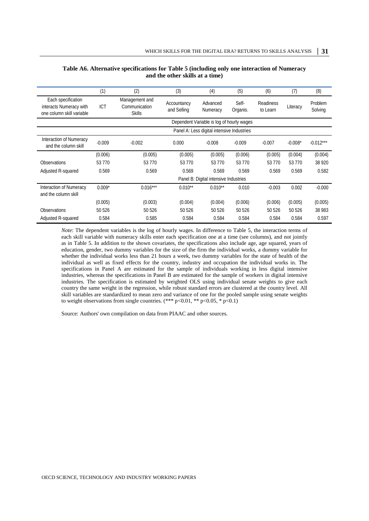|                                                                            | (1)        | (2)                                              | (3)                        | (4)                                        | (5)               | (6)                   | (7)       | (8)                |
|----------------------------------------------------------------------------|------------|--------------------------------------------------|----------------------------|--------------------------------------------|-------------------|-----------------------|-----------|--------------------|
| Each specification<br>interacts Numeracy with<br>one column skill variable | <b>ICT</b> | Management and<br>Communication<br><b>Skills</b> | Accountancy<br>and Selling | Advanced<br>Numeracy                       | Self-<br>Organis. | Readiness<br>to Learn | Literacy  | Problem<br>Solving |
|                                                                            |            | Dependent Variable is log of hourly wages        |                            |                                            |                   |                       |           |                    |
|                                                                            |            |                                                  |                            | Panel A: Less digital intensive Industries |                   |                       |           |                    |
| Interaction of Numeracy<br>and the column skill                            | $-0.009$   | $-0.002$                                         | 0.000                      | $-0.008$                                   | $-0.009$          | $-0.007$              | $-0.008*$ | $-0.012***$        |
|                                                                            | (0.006)    | (0.005)                                          | (0.005)                    | (0.005)                                    | (0.006)           | (0.005)               | (0.004)   | (0.004)            |
| <b>Observations</b>                                                        | 53 7 7 0   | 53 7 7 0                                         | 53 7 7 0                   | 53 770                                     | 53 7 7 0          | 53 770                | 53 7 7 0  | 38 9 20            |
| Adjusted R-squared                                                         | 0.569      | 0.569                                            | 0.569                      | 0.569                                      | 0.569             | 0.569                 | 0.569     | 0.582              |
|                                                                            |            | Panel B: Digital intensive Industries            |                            |                                            |                   |                       |           |                    |
| Interaction of Numeracy<br>and the column skill                            | $0.009*$   | $0.016***$                                       | $0.010**$                  | $0.010**$                                  | 0.010             | $-0.003$              | 0.002     | $-0.000$           |
|                                                                            | (0.005)    | (0.003)                                          | (0.004)                    | (0.004)                                    | (0.006)           | (0.006)               | (0.005)   | (0.005)            |
| <b>Observations</b>                                                        | 50 526     | 50 526                                           | 50 526                     | 50 526                                     | 50 526            | 50 526                | 50 526    | 38 983             |
| Adjusted R-squared                                                         | 0.584      | 0.585                                            | 0.584                      | 0.584                                      | 0.584             | 0.584                 | 0.584     | 0.597              |

#### **Table A6. Alternative specifications for Table 5 (including only one interaction of Numeracy and the other skills at a time)**

*Note*: The dependent variables is the log of hourly wages. In difference to Table 5, the interaction terms of each skill variable with numeracy skills enter each specification one at a time (see columns), and not jointly as in Table 5. In addition to the shown covariates, the specifications also include age, age squared, years of education, gender, two dummy variables for the size of the firm the individual works, a dummy variable for whether the individual works less than 21 hours a week, two dummy variables for the state of health of the individual as well as fixed effects for the country, industry and occupation the individual works in. The specifications in Panel A are estimated for the sample of individuals working in less digital intensive industries, whereas the specifications in Panel B are estimated for the sample of workers in digital intensive industries. The specification is estimated by weighted OLS using individual senate weights to give each country the same weight in the regression, while robust standard errors are clustered at the country level. All skill variables are standardized to mean zero and variance of one for the pooled sample using senate weights to weight observations from single countries. (\*\*\* p<0.01, \*\* p<0.05, \* p<0.1)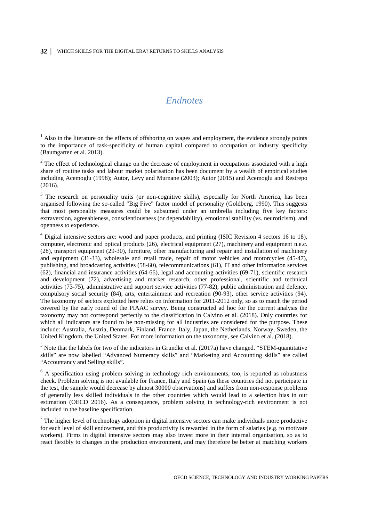### *Endnotes*

<span id="page-31-10"></span><span id="page-31-9"></span><span id="page-31-8"></span><span id="page-31-1"></span><span id="page-31-0"></span><sup>1</sup> Also in the literature on the effects of offshoring on wages and employment, the evidence strongly points to the importance of task-specificity of human capital compared to occupation or industry specificity (Baumgarten et al. 2013).

<span id="page-31-12"></span><span id="page-31-11"></span><span id="page-31-2"></span> $2^2$  The effect of technological change on the decrease of employment in occupations associated with a high share of routine tasks and labour market polarisation has been document by a wealth of empirical studies including Acemoglu (1998); Autor, Levy and Murnane (2003); Autor (2015) and Acemoglu and Restrepo (2016).

<span id="page-31-14"></span><span id="page-31-13"></span><span id="page-31-3"></span><sup>3</sup> The research on personality traits (or non-cognitive skills), especially for North America, has been organised following the so-called "Big Five" factor model of personality (Goldberg, 1990). This suggests that most personality measures could be subsumed under an umbrella including five key factors: extraversion, agreeableness, conscientiousness (or dependability), emotional stability (vs. neuroticism), and openness to experience.

<span id="page-31-15"></span><span id="page-31-4"></span><sup>4</sup> Digital intensive sectors are: wood and paper products, and printing (ISIC Revision 4 sectors 16 to 18), computer, electronic and optical products (26), electrical equipment (27), machinery and equipment n.e.c. (28), transport equipment (29-30), furniture, other manufacturing and repair and installation of machinery and equipment (31-33), wholesale and retail trade, repair of motor vehicles and motorcycles (45-47), publishing, and broadcasting activities (58-60), telecommunications (61), IT and other information services (62), financial and insurance activities (64-66), legal and accounting activities (69-71), scientific research and development (72), advertising and market research, other professional, scientific and technical activities (73-75), administrative and support service activities (77-82), public administration and defence, compulsory social security (84), arts, entertainment and recreation (90-93), other service activities (94). The taxonomy of sectors exploited here relies on information for 2011-2012 only, so as to match the period covered by the early round of the PIAAC survey. Being constructed ad hoc for the current analysis the taxonomy may not correspond perfectly to the classification in Calvino et al. (2018). Only countries for which all indicators are found to be non-missing for all industries are considered for the purpose. These include: Australia, Austria, Denmark, Finland, France, Italy, Japan, the Netherlands, Norway, Sweden, the United Kingdom, the United States. For more information on the taxonomy, see Calvino et al. (2018).

<span id="page-31-17"></span><span id="page-31-16"></span><span id="page-31-5"></span><sup>5</sup> Note that the labels for two of the indicators in Grundke et al. (2017a) have changed. "STEM-quantitative skills" are now labelled "Advanced Numeracy skills" and "Marketing and Accounting skills" are called "Accountancy and Selling skills".

<span id="page-31-6"></span> $6$  A specification using problem solving in technology rich environments, too, is reported as robustness check. Problem solving is not available for France, Italy and Spain (as these countries did not participate in the test, the sample would decrease by almost 30000 observations) and suffers from non-response problems of generally less skilled individuals in the other countries which would lead to a selection bias in our estimation (OECD 2016). As a consequence, problem solving in technology-rich environment is not included in the baseline specification.

<span id="page-31-7"></span> $<sup>7</sup>$  The higher level of technology adoption in digital intensive sectors can make individuals more productive</sup> for each level of skill endowment, and this productivity is rewarded in the form of salaries (e.g. to motivate workers). Firms in digital intensive sectors may also invest more in their internal organisation, so as to react flexibly to changes in the production environment, and may therefore be better at matching workers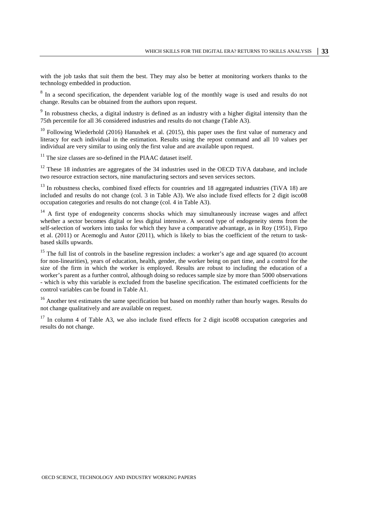with the job tasks that suit them the best. They may also be better at monitoring workers thanks to the technology embedded in production.

<sup>8</sup> In a second specification, the dependent variable log of the monthly wage is used and results do not change. Results can be obtained from the authors upon request.

<sup>9</sup> In robustness checks, a digital industry is defined as an industry with a higher digital intensity than the 75th percentile for all 36 considered industries and results do not change (Table A3).

 $10$  Following Wiederhold (2016) Hanushek et al. (2015), this paper uses the first value of numeracy and literacy for each individual in the estimation. Results using the repost command and all 10 values per individual are very similar to using only the first value and are available upon request.

 $11$  The size classes are so-defined in the PIAAC dataset itself.

<sup>12</sup> These 18 industries are aggregates of the 34 industries used in the OECD TiVA database, and include two resource extraction sectors, nine manufacturing sectors and seven services sectors.

<sup>13</sup> In robustness checks, combined fixed effects for countries and 18 aggregated industries (TiVA 18) are included and results do not change (col. 3 in Table A3). We also include fixed effects for 2 digit isco08 occupation categories and results do not change (col. 4 in Table A3).

 $14$  A first type of endogeneity concerns shocks which may simultaneously increase wages and affect whether a sector becomes digital or less digital intensive. A second type of endogeneity stems from the self-selection of workers into tasks for which they have a comparative advantage, as in Roy (1951), Firpo et al. (2011) or Acemoglu and Autor (2011), which is likely to bias the coefficient of the return to taskbased skills upwards.

<sup>15</sup> The full list of controls in the baseline regression includes: a worker's age and age squared (to account for non-linearities), years of education, health, gender, the worker being on part time, and a control for the size of the firm in which the worker is employed. Results are robust to including the education of a worker's parent as a further control, although doing so reduces sample size by more than 5000 observations - which is why this variable is excluded from the baseline specification. The estimated coefficients for the control variables can be found in Table A1.

<sup>16</sup> Another test estimates the same specification but based on monthly rather than hourly wages. Results do not change qualitatively and are available on request.

 $17$  In column 4 of Table A3, we also include fixed effects for 2 digit isco08 occupation categories and results do not change.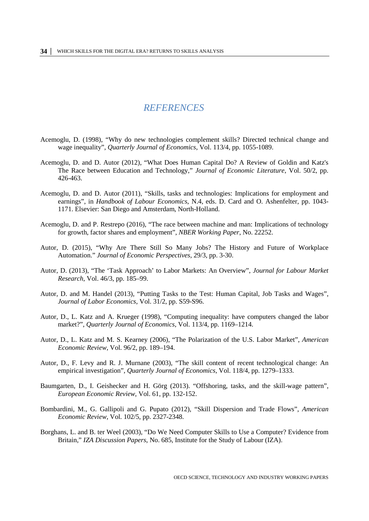### *REFERENCES*

- <span id="page-33-0"></span>Acemoglu, D. (1998), "Why do new technologies complement skills? Directed technical change and wage inequality", *Quarterly Journal of Economics*, Vol. 113/4, pp. 1055-1089.
- Acemoglu, D. and D. Autor (2012), "What Does Human Capital Do? A Review of Goldin and Katz's The Race between Education and Technology," *Journal of Economic Literature*, Vol. 50/2, pp. 426-463.
- Acemoglu, D. and D. Autor (2011), "Skills, tasks and technologies: Implications for employment and earnings", in *Handbook of Labour Economics*, N.4, eds. D. Card and O. Ashenfelter, pp. 1043- 1171. Elsevier: San Diego and Amsterdam, North-Holland.
- Acemoglu, D. and P. Restrepo (2016), "The race between machine and man: Implications of technology for growth, factor shares and employment", *NBER Working Paper*, No. 22252.
- Autor, D. (2015), "Why Are There Still So Many Jobs? The History and Future of Workplace Automation." *Journal of Economic Perspectives,* 29/3, pp. 3-30.
- Autor, D. (2013), "The 'Task Approach' to Labor Markets: An Overview", *Journal for Labour Market Research*, Vol. 46/3, pp. 185–99.
- Autor, D. and M. Handel (2013), "Putting Tasks to the Test: Human Capital, Job Tasks and Wages", *Journal of Labor Economics*, Vol. 31/2, pp. S59-S96.
- Autor, D., L. Katz and A. Krueger (1998), "Computing inequality: have computers changed the labor market?", *Quarterly Journal of Economics*, Vol. 113/4, pp. 1169–1214.
- Autor, D., L. Katz and M. S. Kearney (2006), "The Polarization of the U.S. Labor Market", *American Economic Review*, Vol. 96/2, pp. 189–194.
- Autor, D., F. Levy and R. J. Murnane (2003), "The skill content of recent technological change: An empirical investigation", *Quarterly Journal of Economics*, Vol. 118/4, pp. 1279–1333.
- Baumgarten, D., I. Geishecker and H. Görg (2013). "Offshoring, tasks, and the skill-wage pattern", *European Economic Review*, Vol. 61, pp. 132-152.
- Bombardini, M., G. Gallipoli and G. Pupato (2012), "Skill Dispersion and Trade Flows", *American Economic Review*, Vol. 102/5, pp. 2327-2348.
- Borghans, L. and B. ter Weel (2003), "Do We Need Computer Skills to Use a Computer? Evidence from Britain," *IZA Discussion Papers*, No. 685, Institute for the Study of Labour (IZA).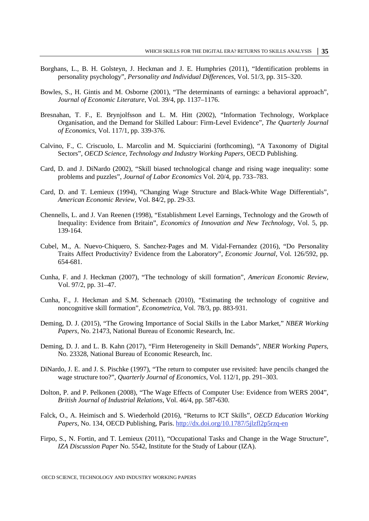- Borghans, L., B. H. Golsteyn, J. Heckman and J. E. Humphries (2011), "Identification problems in personality psychology", *Personality and Individual Differences*, Vol. 51/3, pp. 315–320.
- Bowles, S., H. Gintis and M. Osborne (2001), "The determinants of earnings: a behavioral approach", *Journal of Economic Literature*, Vol. 39/4, pp. 1137–1176.
- Bresnahan, T. F., E. Brynjolfsson and L. M. Hitt (2002), "Information Technology, Workplace Organisation, and the Demand for Skilled Labour: Firm-Level Evidence", *The Quarterly Journal of Economics*, Vol. 117/1, pp. 339-376.
- Calvino, F., C. Criscuolo, L. Marcolin and M. Squicciarini (forthcoming), "A Taxonomy of Digital Sectors", *OECD Science, Technology and Industry Working Papers*, OECD Publishing.
- Card, D. and J. DiNardo (2002), "Skill biased technological change and rising wage inequality: some problems and puzzles", *Journal of Labor Economics* Vol. 20/4, pp. 733–783.
- Card, D. and T. Lemieux (1994), "Changing Wage Structure and Black-White Wage Differentials", *American Economic Review*, Vol. 84/2, pp. 29-33.
- Chennells, L. and J. Van Reenen (1998), "Establishment Level Earnings, Technology and the Growth of Inequality: Evidence from Britain", *Economics of Innovation and New Technology*, Vol. 5, pp. 139-164.
- Cubel, M., A. Nuevo‐Chiquero, S. Sanchez‐Pages and M. Vidal‐Fernandez (2016), "Do Personality Traits Affect Productivity? Evidence from the Laboratory", *Economic Journal*, Vol. 126/592, pp. 654-681.
- Cunha, F. and J. Heckman (2007), "The technology of skill formation", *American Economic Review*, Vol. 97/2, pp. 31–47.
- Cunha, F., J. Heckman and S.M. Schennach (2010), "Estimating the technology of cognitive and noncognitive skill formation", *Econometrica*, Vol. 78/3, pp. 883-931.
- Deming, D. J. (2015), "The Growing Importance of Social Skills in the Labor Market," *NBER Working Papers*, No. 21473, National Bureau of Economic Research, Inc.
- Deming, D. J. and L. B. Kahn (2017), "Firm Heterogeneity in Skill Demands", *NBER Working Papers*, No. 23328, National Bureau of Economic Research, Inc.
- DiNardo, J. E. and J. S. Pischke (1997), "The return to computer use revisited: have pencils changed the wage structure too?", *Quarterly Journal of Economics*, Vol. 112/1, pp. 291–303.
- Dolton, P. and P. Pelkonen (2008), "The Wage Effects of Computer Use: Evidence from WERS 2004", *British Journal of Industrial Relations*, Vol. 46/4, pp. 587-630.
- Falck, O., A. Heimisch and S. Wiederhold (2016), "Returns to ICT Skills", *OECD Education Working Papers*, No. 134, OECD Publishing, Paris.<http://dx.doi.org/10.1787/5jlzfl2p5rzq-en>
- Firpo, S., N. Fortin, and T. Lemieux (2011), "Occupational Tasks and Change in the Wage Structure", *IZA Discussion Paper* No. 5542, Institute for the Study of Labour (IZA).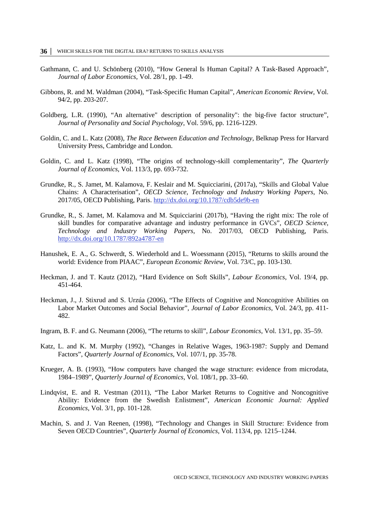- Gathmann, C. and U. Schönberg (2010), "How General Is Human Capital? A Task-Based Approach", *Journal of Labor Economics*, Vol. 28/1, pp. 1-49.
- Gibbons, R. and M. Waldman (2004), "Task-Specific Human Capital", *American Economic Review*, Vol. 94/2, pp. 203-207.
- Goldberg, L.R. (1990), "An alternative" description of personality": the big-five factor structure", *Journal of Personality and Social Psychology*, Vol. 59/6, pp. 1216-1229.
- Goldin, C. and L. Katz (2008), *The Race Between Education and Technology*, Belknap Press for Harvard University Press, Cambridge and London.
- Goldin, C. and L. Katz (1998), "The origins of technology-skill complementarity", *The Quarterly Journal of Economics*, Vol. 113/3, pp. 693-732.
- Grundke, R., S. Jamet, M. Kalamova, F. Keslair and M. Squicciarini, (2017a), "Skills and Global Value Chains: A Characterisation", *OECD Science, Technology and Industry Working Papers*, No. 2017/05, OECD Publishing, Paris.<http://dx.doi.org/10.1787/cdb5de9b-en>
- Grundke, R., S. Jamet, M. Kalamova and M. Squicciarini (2017b), "Having the right mix: The role of skill bundles for comparative advantage and industry performance in GVCs", *OECD Science, Technology and Industry Working Papers*, No. 2017/03, OECD Publishing, Paris. <http://dx.doi.org/10.1787/892a4787-en>
- Hanushek, E. A., G. Schwerdt, S. Wiederhold and L. Woessmann (2015), "Returns to skills around the world: Evidence from PIAAC", *European Economic Review*, Vol. 73/C, pp. 103-130.
- Heckman, J. and T. Kautz (2012), "Hard Evidence on Soft Skills", *Labour Economics*, Vol. 19/4, pp. 451-464.
- Heckman, J., J. Stixrud and S. Urzúa (2006), "The Effects of Cognitive and Noncognitive Abilities on Labor Market Outcomes and Social Behavior", *Journal of Labor Economics*, Vol. 24/3, pp. 411- 482.
- Ingram, B. F. and G. Neumann (2006), "The returns to skill", *Labour Economics*, Vol. 13/1, pp. 35–59.
- Katz, L. and K. M. Murphy (1992), "Changes in Relative Wages, 1963-1987: Supply and Demand Factors", *Quarterly Journal of Economics*, Vol. 107/1, pp. 35-78.
- Krueger, A. B. (1993), "How computers have changed the wage structure: evidence from microdata, 1984–1989", *Quarterly Journal of Economics*, Vol. 108/1, pp. 33–60.
- Lindqvist, E. and R. Vestman (2011), "The Labor Market Returns to Cognitive and Noncognitive Ability: Evidence from the Swedish Enlistment", *American Economic Journal: Applied Economics*, Vol. 3/1, pp. 101-128.
- Machin, S. and J. Van Reenen, (1998), "Technology and Changes in Skill Structure: Evidence from Seven OECD Countries", *Quarterly Journal of Economics*, Vol. 113/4, pp. 1215–1244.